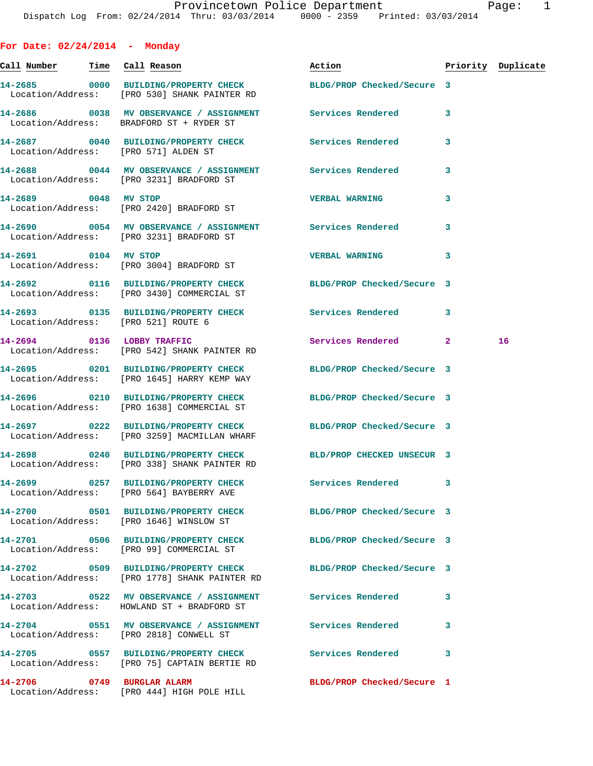**For Date: 02/24/2014 - Monday**

| Call Number Time Call Reason |                                                                                                                  | Action                     |   | Priority Duplicate |
|------------------------------|------------------------------------------------------------------------------------------------------------------|----------------------------|---|--------------------|
|                              | 14-2685 0000 BUILDING/PROPERTY CHECK<br>Location/Address: [PRO 530] SHANK PAINTER RD                             | BLDG/PROP Checked/Secure 3 |   |                    |
|                              | 14-2686  0038 MV OBSERVANCE / ASSIGNMENT Services Rendered<br>Location/Address: BRADFORD ST + RYDER ST           |                            | 3 |                    |
|                              | 14-2687 0040 BUILDING/PROPERTY CHECK Services Rendered<br>Location/Address: [PRO 571] ALDEN ST                   |                            | 3 |                    |
|                              | 14-2688 0044 MV OBSERVANCE / ASSIGNMENT Services Rendered<br>Location/Address: [PRO 3231] BRADFORD ST            |                            | 3 |                    |
| 14-2689 0048 MV STOP         | Location/Address: [PRO 2420] BRADFORD ST                                                                         | <b>VERBAL WARNING</b>      | 3 |                    |
|                              | 14-2690 0054 MV OBSERVANCE / ASSIGNMENT Services Rendered<br>Location/Address: [PRO 3231] BRADFORD ST            |                            | 3 |                    |
| 14-2691 0104 MV STOP         | Location/Address: [PRO 3004] BRADFORD ST                                                                         | <b>VERBAL WARNING</b>      | 3 |                    |
|                              | 14-2692 0116 BUILDING/PROPERTY CHECK<br>Location/Address: [PRO 3430] COMMERCIAL ST                               | BLDG/PROP Checked/Secure 3 |   |                    |
|                              | 14-2693 0135 BUILDING/PROPERTY CHECK<br>Location/Address: [PRO 521] ROUTE 6                                      | Services Rendered          | 3 |                    |
| 14-2694 0136 LOBBY TRAFFIC   | Location/Address: [PRO 542] SHANK PAINTER RD                                                                     | Services Rendered 2        |   | 16                 |
|                              | 14-2695 0201 BUILDING/PROPERTY CHECK BLDG/PROP Checked/Secure 3<br>Location/Address: [PRO 1645] HARRY KEMP WAY   |                            |   |                    |
|                              | 14-2696 0210 BUILDING/PROPERTY CHECK<br>Location/Address: [PRO 1638] COMMERCIAL ST                               | BLDG/PROP Checked/Secure 3 |   |                    |
|                              | 14-2697 0222 BUILDING/PROPERTY CHECK BLDG/PROP Checked/Secure 3<br>Location/Address: [PRO 3259] MACMILLAN WHARF  |                            |   |                    |
|                              | 14-2698 0240 BUILDING/PROPERTY CHECK BLD/PROP CHECKED UNSECUR 3<br>Location/Address: [PRO 338] SHANK PAINTER RD  |                            |   |                    |
|                              | 14-2699 0257 BUILDING/PROPERTY CHECK<br>Location/Address: [PRO 564] BAYBERRY AVE                                 | <b>Services Rendered</b>   | 3 |                    |
|                              | Location/Address: [PRO 1646] WINSLOW ST                                                                          | BLDG/PROP Checked/Secure 3 |   |                    |
|                              | 14-2701 0506 BUILDING/PROPERTY CHECK<br>Location/Address: [PRO 99] COMMERCIAL ST                                 | BLDG/PROP Checked/Secure 3 |   |                    |
|                              | 14-2702 0509 BUILDING/PROPERTY CHECK BLDG/PROP Checked/Secure 3<br>Location/Address: [PRO 1778] SHANK PAINTER RD |                            |   |                    |
|                              | 14-2703 0522 MV OBSERVANCE / ASSIGNMENT Services Rendered<br>Location/Address: HOWLAND ST + BRADFORD ST          |                            | 3 |                    |
|                              | 14-2704 0551 MV OBSERVANCE / ASSIGNMENT Services Rendered<br>Location/Address: [PRO 2818] CONWELL ST             |                            | 3 |                    |
|                              | 14-2705 0557 BUILDING/PROPERTY CHECK Services Rendered<br>Location/Address: [PRO 75] CAPTAIN BERTIE RD           |                            | 3 |                    |
| 14-2706                      | 0749 BURGLAR ALARM<br>Location/Address: [PRO 444] HIGH POLE HILL                                                 | BLDG/PROP Checked/Secure 1 |   |                    |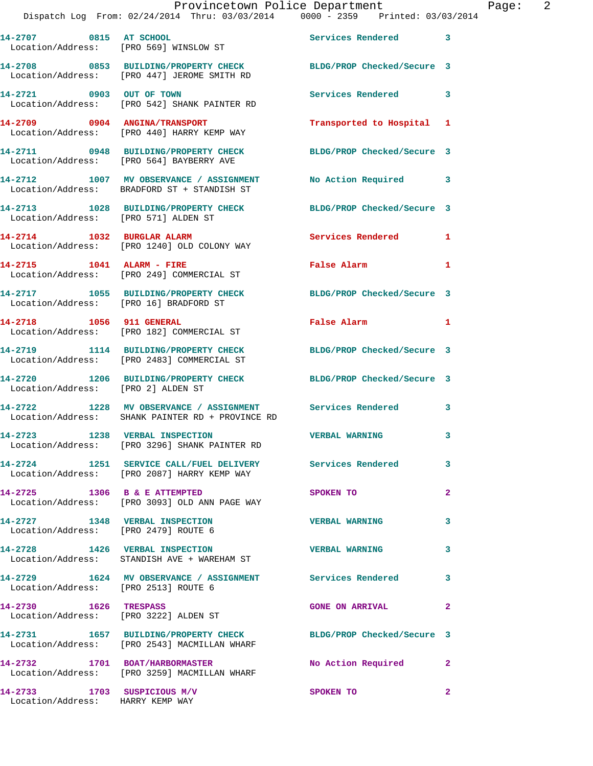| 14-2707 0815 AT SCHOOL<br>Location/Address: [PRO 569] WINSLOW ST       |                                                                                                                 | Services Rendered 3        |                |
|------------------------------------------------------------------------|-----------------------------------------------------------------------------------------------------------------|----------------------------|----------------|
|                                                                        | 14-2708 0853 BUILDING/PROPERTY CHECK<br>Location/Address: [PRO 447] JEROME SMITH RD                             | BLDG/PROP Checked/Secure 3 |                |
| 14-2721 0903 OUT OF TOWN                                               | Location/Address: [PRO 542] SHANK PAINTER RD                                                                    | Services Rendered 3        |                |
|                                                                        | 14-2709 0904 ANGINA/TRANSPORT<br>Location/Address: [PRO 440] HARRY KEMP WAY                                     | Transported to Hospital 1  |                |
|                                                                        | 14-2711 0948 BUILDING/PROPERTY CHECK<br>Location/Address: [PRO 564] BAYBERRY AVE                                | BLDG/PROP Checked/Secure 3 |                |
|                                                                        | 14-2712 1007 MV OBSERVANCE / ASSIGNMENT<br>Location/Address: BRADFORD ST + STANDISH ST                          | No Action Required 3       |                |
| Location/Address: [PRO 571] ALDEN ST                                   | 14-2713 1028 BUILDING/PROPERTY CHECK                                                                            | BLDG/PROP Checked/Secure 3 |                |
| 14-2714 1032 BURGLAR ALARM                                             | Location/Address: [PRO 1240] OLD COLONY WAY                                                                     | Services Rendered          | 1              |
| 14-2715 1041 ALARM - FIRE                                              | Location/Address: [PRO 249] COMMERCIAL ST                                                                       | False Alarm                | 1              |
| Location/Address: [PRO 16] BRADFORD ST                                 | 14-2717 1055 BUILDING/PROPERTY CHECK                                                                            | BLDG/PROP Checked/Secure 3 |                |
| 14-2718 1056 911 GENERAL                                               | Location/Address: [PRO 182] COMMERCIAL ST                                                                       | False Alarm                | $\mathbf{1}$   |
|                                                                        | 14-2719 1114 BUILDING/PROPERTY CHECK<br>Location/Address: [PRO 2483] COMMERCIAL ST                              | BLDG/PROP Checked/Secure 3 |                |
| Location/Address: [PRO 2] ALDEN ST                                     | 14-2720 1206 BUILDING/PROPERTY CHECK                                                                            | BLDG/PROP Checked/Secure 3 |                |
|                                                                        | 14-2722 1228 MV OBSERVANCE / ASSIGNMENT Services Rendered<br>Location/Address: SHANK PAINTER RD + PROVINCE RD   |                            | 3              |
|                                                                        | 14-2723 1238 VERBAL INSPECTION<br>Location/Address: [PRO 3296] SHANK PAINTER RD                                 | <b>VERBAL WARNING</b>      | 3              |
|                                                                        | 14-2724 1251 SERVICE CALL/FUEL DELIVERY<br>Location/Address: [PRO 2087] HARRY KEMP WAY                          | Services Rendered          | $\mathbf{3}$   |
| 14-2725 1306 B & E ATTEMPTED                                           | Location/Address: [PRO 3093] OLD ANN PAGE WAY                                                                   | SPOKEN TO                  | $\mathbf{2}$   |
| 14-2727 1348 VERBAL INSPECTION<br>Location/Address: [PRO 2479] ROUTE 6 |                                                                                                                 | <b>VERBAL WARNING</b>      | 3              |
|                                                                        | 14-2728 1426 VERBAL INSPECTION<br>Location/Address: STANDISH AVE + WAREHAM ST                                   | <b>VERBAL WARNING</b>      | 3              |
| Location/Address: [PRO 2513] ROUTE 6                                   | 14-2729 1624 MV OBSERVANCE / ASSIGNMENT Services Rendered                                                       |                            | 3              |
| 14-2730 1626 TRESPASS<br>Location/Address: [PRO 3222] ALDEN ST         |                                                                                                                 | <b>GONE ON ARRIVAL</b>     | $\mathbf{2}$   |
|                                                                        | 14-2731 1657 BUILDING/PROPERTY CHECK BLDG/PROP Checked/Secure 3<br>Location/Address: [PRO 2543] MACMILLAN WHARF |                            |                |
|                                                                        | 14-2732 1701 BOAT/HARBORMASTER<br>Location/Address: [PRO 3259] MACMILLAN WHARF                                  | No Action Required         | $\mathbf{2}$   |
| $14-2733$ 1703 SUSPICIOUS M/V                                          |                                                                                                                 | SPOKEN TO                  | $\mathbf{2}^-$ |

Location/Address: HARRY KEMP WAY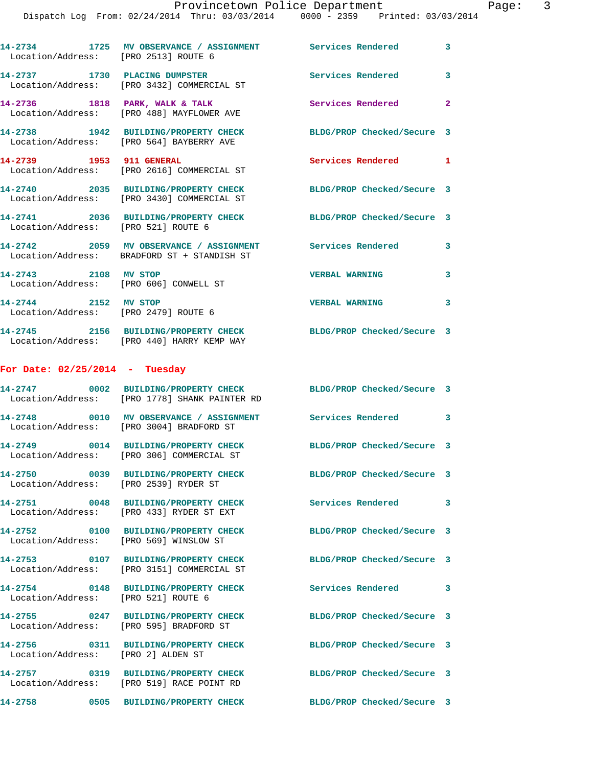| Location/Address: [PRO 2513] ROUTE 6                         | 14-2734 1725 MV OBSERVANCE / ASSIGNMENT Services Rendered 3                                                 |                            |              |
|--------------------------------------------------------------|-------------------------------------------------------------------------------------------------------------|----------------------------|--------------|
|                                                              | 14-2737 1730 PLACING DUMPSTER<br>Location/Address: [PRO 3432] COMMERCIAL ST                                 | <b>Services Rendered</b>   | 3            |
|                                                              | 14-2736 1818 PARK, WALK & TALK<br>Location/Address: [PRO 488] MAYFLOWER AVE                                 | Services Rendered 2        |              |
|                                                              | 14-2738 1942 BUILDING/PROPERTY CHECK BLDG/PROP Checked/Secure 3<br>Location/Address: [PRO 564] BAYBERRY AVE |                            |              |
| 14-2739 1953 911 GENERAL                                     | Location/Address: [PRO 2616] COMMERCIAL ST                                                                  | Services Rendered 1        |              |
|                                                              | 14-2740 2035 BUILDING/PROPERTY CHECK<br>Location/Address: [PRO 3430] COMMERCIAL ST                          | BLDG/PROP Checked/Secure 3 |              |
| Location/Address: [PRO 521] ROUTE 6                          | 14-2741 2036 BUILDING/PROPERTY CHECK BLDG/PROP Checked/Secure 3                                             |                            |              |
|                                                              | 14-2742 2059 MV OBSERVANCE / ASSIGNMENT Services Rendered<br>Location/Address: BRADFORD ST + STANDISH ST    |                            | 3            |
| 14-2743 2108 MV STOP                                         | Location/Address: [PRO 606] CONWELL ST                                                                      | <b>VERBAL WARNING</b>      | 3            |
| 14-2744 2152 MV STOP<br>Location/Address: [PRO 2479] ROUTE 6 |                                                                                                             | <b>VERBAL WARNING</b>      | 3            |
|                                                              | 14-2745 2156 BUILDING/PROPERTY CHECK<br>Location/Address: [PRO 440] HARRY KEMP WAY                          | BLDG/PROP Checked/Secure 3 |              |
| For Date: $02/25/2014$ - Tuesday                             |                                                                                                             |                            |              |
|                                                              |                                                                                                             |                            |              |
|                                                              | 14-2747 0002 BUILDING/PROPERTY CHECK<br>Location/Address: [PRO 1778] SHANK PAINTER RD                       | BLDG/PROP Checked/Secure 3 |              |
|                                                              | 14-2748 0010 MV OBSERVANCE / ASSIGNMENT Services Rendered 3<br>Location/Address: [PRO 3004] BRADFORD ST     |                            |              |
|                                                              | 14-2749 0014 BUILDING/PROPERTY CHECK<br>Location/Address: [PRO 306] COMMERCIAL ST                           | BLDG/PROP Checked/Secure 3 |              |
| Location/Address: [PRO 2539] RYDER ST                        | 14-2750 0039 BUILDING/PROPERTY CHECK                                                                        | BLDG/PROP Checked/Secure 3 |              |
|                                                              | 14-2751 0048 BUILDING/PROPERTY CHECK<br>Location/Address: [PRO 433] RYDER ST EXT                            | Services Rendered          | 3            |
| Location/Address: [PRO 569] WINSLOW ST                       | 14-2752 0100 BUILDING/PROPERTY CHECK                                                                        | BLDG/PROP Checked/Secure 3 |              |
|                                                              | 14-2753 0107 BUILDING/PROPERTY CHECK<br>Location/Address: [PRO 3151] COMMERCIAL ST                          | BLDG/PROP Checked/Secure 3 |              |
| Location/Address: [PRO 521] ROUTE 6                          | 14-2754 0148 BUILDING/PROPERTY CHECK                                                                        | <b>Services Rendered</b>   | $\mathbf{3}$ |
|                                                              | 14-2755 0247 BUILDING/PROPERTY CHECK<br>Location/Address: [PRO 595] BRADFORD ST                             | BLDG/PROP Checked/Secure 3 |              |
| Location/Address: [PRO 2] ALDEN ST                           | 14-2756 0311 BUILDING/PROPERTY CHECK                                                                        | BLDG/PROP Checked/Secure 3 |              |
|                                                              | 14-2757 0319 BUILDING/PROPERTY CHECK<br>Location/Address: [PRO 519] RACE POINT RD                           | BLDG/PROP Checked/Secure 3 |              |
| 14-2758                                                      | 0505 BUILDING/PROPERTY CHECK                                                                                | BLDG/PROP Checked/Secure 3 |              |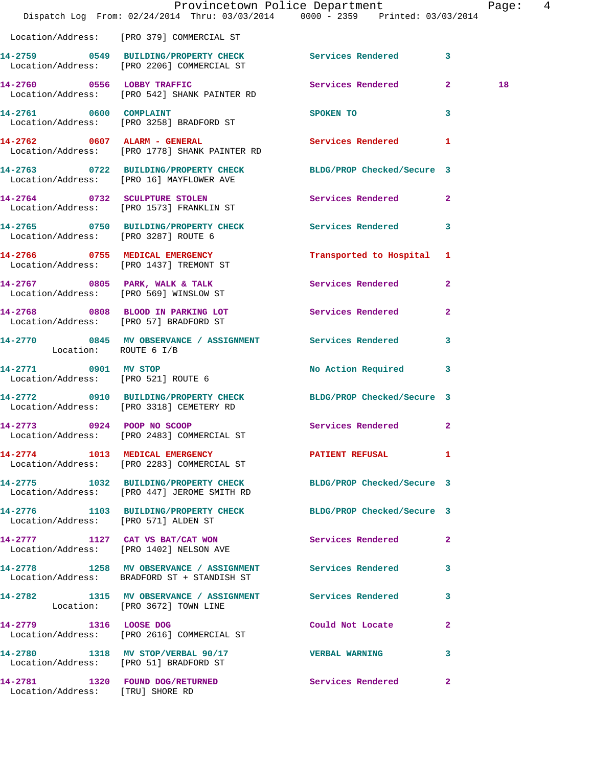|                                      | Dispatch Log From: 02/24/2014 Thru: 03/03/2014 0000 - 2359 Printed: 03/03/2014                                 | Provincetown Police Department   |              | Page: 4 |  |
|--------------------------------------|----------------------------------------------------------------------------------------------------------------|----------------------------------|--------------|---------|--|
|                                      | Location/Address: [PRO 379] COMMERCIAL ST                                                                      |                                  |              |         |  |
|                                      | 14-2759 0549 BUILDING/PROPERTY CHECK Services Rendered 3<br>Location/Address: [PRO 2206] COMMERCIAL ST         |                                  |              |         |  |
|                                      | 14-2760 0556 LOBBY TRAFFIC<br>Location/Address: [PRO 542] SHANK PAINTER RD                                     | Services Rendered 2              |              | 18      |  |
| 14-2761 0600 COMPLAINT               | Location/Address: [PRO 3258] BRADFORD ST                                                                       | SPOKEN TO AND TO A THE SPOKEN TO | $\mathbf{3}$ |         |  |
|                                      | 14-2762 0607 ALARM - GENERAL<br>Location/Address: [PRO 1778] SHANK PAINTER RD                                  | Services Rendered 1              |              |         |  |
|                                      | 14-2763 0722 BUILDING/PROPERTY CHECK BLDG/PROP Checked/Secure 3<br>Location/Address: [PRO 16] MAYFLOWER AVE    |                                  |              |         |  |
|                                      | 14-2764 0732 SCULPTURE STOLEN<br>Location/Address: [PRO 1573] FRANKLIN ST                                      | Services Rendered 2              |              |         |  |
| Location/Address: [PRO 3287] ROUTE 6 | 14-2765 0750 BUILDING/PROPERTY CHECK Services Rendered 3                                                       |                                  |              |         |  |
|                                      | 14-2766 0755 MEDICAL EMERGENCY<br>Location/Address: [PRO 1437] TREMONT ST                                      | Transported to Hospital 1        |              |         |  |
|                                      | 14-2767 0805 PARK, WALK & TALK<br>Location/Address: [PRO 569] WINSLOW ST                                       | Services Rendered 2              |              |         |  |
|                                      | 14-2768 0808 BLOOD IN PARKING LOT Services Rendered 2<br>Location/Address: [PRO 57] BRADFORD ST                |                                  |              |         |  |
| Location: ROUTE 6 I/B                | 14-2770 0845 MV OBSERVANCE / ASSIGNMENT Services Rendered                                                      |                                  | 3            |         |  |
| 14-2771 0901 MV STOP                 | Location/Address: [PRO 521] ROUTE 6                                                                            | No Action Required 3             |              |         |  |
|                                      | 14-2772 0910 BUILDING/PROPERTY CHECK BLDG/PROP Checked/Secure 3<br>Location/Address: [PRO 3318] CEMETERY RD    |                                  |              |         |  |
| 14-2773 0924 POOP NO SCOOP           | Location/Address: [PRO 2483] COMMERCIAL ST                                                                     | Services Rendered 2              |              |         |  |
|                                      | 14-2774 1013 MEDICAL EMERGENCY PATIENT REFUSAL 1<br>Location/Address: [PRO 2283] COMMERCIAL ST                 |                                  |              |         |  |
|                                      | 14-2775 1032 BUILDING/PROPERTY CHECK BLDG/PROP Checked/Secure 3<br>Location/Address: [PRO 447] JEROME SMITH RD |                                  |              |         |  |
| Location/Address: [PRO 571] ALDEN ST | 14-2776 1103 BUILDING/PROPERTY CHECK BLDG/PROP Checked/Secure 3                                                |                                  |              |         |  |
|                                      | 14-2777 1127 CAT VS BAT/CAT WON<br>Location/Address: [PRO 1402] NELSON AVE                                     | Services Rendered 2              |              |         |  |
|                                      | 14-2778 1258 MV OBSERVANCE / ASSIGNMENT Services Rendered 3<br>Location/Address: BRADFORD ST + STANDISH ST     |                                  |              |         |  |
|                                      | 14-2782 1315 MV OBSERVANCE / ASSIGNMENT Services Rendered 3<br>Location: [PRO 3672] TOWN LINE                  |                                  |              |         |  |
|                                      | 14-2779 1316 LOOSE DOG<br>Location/Address: [PRO 2616] COMMERCIAL ST                                           | Could Not Locate 2               |              |         |  |
|                                      | 14-2780 1318 MV STOP/VERBAL 90/17   VERBAL WARNING   3<br>Location/Address: [PRO 51] BRADFORD ST               |                                  |              |         |  |
| Location/Address: [TRU] SHORE RD     | 14-2781 1320 FOUND DOG/RETURNED Services Rendered 2                                                            |                                  |              |         |  |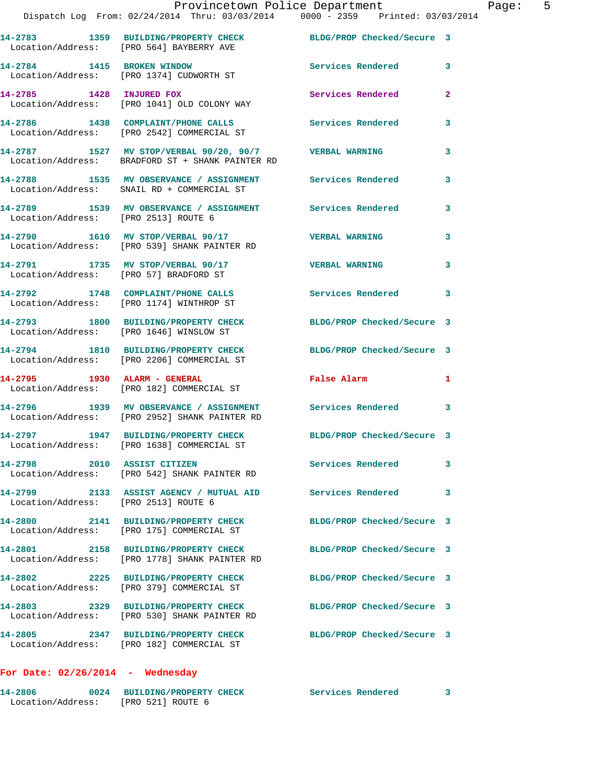|                                                 | 14-2783 1359 BUILDING/PROPERTY CHECK<br>Location/Address: [PRO 564] BAYBERRY AVE                           | BLDG/PROP Checked/Secure 3 |              |
|-------------------------------------------------|------------------------------------------------------------------------------------------------------------|----------------------------|--------------|
| 14-2784 1415 BROKEN WINDOW                      | Location/Address: [PRO 1374] CUDWORTH ST                                                                   | Services Rendered          | 3            |
| 14-2785    1428    INJURED FOX                  | Location/Address: [PRO 1041] OLD COLONY WAY                                                                | Services Rendered          | $\mathbf{2}$ |
|                                                 | 14-2786 1438 COMPLAINT/PHONE CALLS<br>Location/Address: [PRO 2542] COMMERCIAL ST                           | <b>Services Rendered</b>   | 3            |
|                                                 | 14-2787 1527 MV STOP/VERBAL 90/20, 90/7 VERBAL WARNING<br>Location/Address: BRADFORD ST + SHANK PAINTER RD |                            | 3            |
|                                                 | 14-2788 1535 MV OBSERVANCE / ASSIGNMENT<br>Location/Address: SNAIL RD + COMMERCIAL ST                      | <b>Services Rendered</b>   | 3            |
| Location/Address: [PRO 2513] ROUTE 6            | 14-2789 1539 MV OBSERVANCE / ASSIGNMENT                                                                    | <b>Services Rendered</b>   | 3            |
|                                                 | 14-2790   1610   MV STOP/VERBAL 90/17<br>Location/Address: [PRO 539] SHANK PAINTER RD                      | <b>VERBAL WARNING</b>      | 3            |
|                                                 | 14-2791 1735 MV STOP/VERBAL 90/17<br>Location/Address: [PRO 57] BRADFORD ST                                | <b>VERBAL WARNING</b>      | 3            |
|                                                 | 14-2792 1748 COMPLAINT/PHONE CALLS<br>Location/Address: [PRO 1174] WINTHROP ST                             | <b>Services Rendered</b>   | 3            |
|                                                 | 14-2793 1800 BUILDING/PROPERTY CHECK<br>Location/Address: [PRO 1646] WINSLOW ST                            | BLDG/PROP Checked/Secure 3 |              |
|                                                 | 14-2794 1810 BUILDING/PROPERTY CHECK<br>Location/Address: [PRO 2206] COMMERCIAL ST                         | BLDG/PROP Checked/Secure 3 |              |
| 14-2795 1930 ALARM - GENERAL                    | Location/Address: [PRO 182] COMMERCIAL ST                                                                  | False Alarm                | 1            |
|                                                 | 14-2796 1939 MV OBSERVANCE / ASSIGNMENT<br>Location/Address: [PRO 2952] SHANK PAINTER RD                   | Services Rendered          | 3            |
|                                                 | 14-2797 1947 BUILDING/PROPERTY CHECK<br>Location/Address: [PRO 1638] COMMERCIAL ST                         | BLDG/PROP Checked/Secure 3 |              |
| 14-2798 2010 ASSIST CITIZEN                     | Location/Address: [PRO 542] SHANK PAINTER RD                                                               | Services Rendered          | 3            |
| 14-2799<br>Location/Address: [PRO 2513] ROUTE 6 | 2133 ASSIST AGENCY / MUTUAL AID                                                                            | <b>Services Rendered</b>   | 3            |
|                                                 | 14-2800 2141 BUILDING/PROPERTY CHECK<br>Location/Address: [PRO 175] COMMERCIAL ST                          | BLDG/PROP Checked/Secure 3 |              |
| 14-2801                                         | 2158 BUILDING/PROPERTY CHECK<br>Location/Address: [PRO 1778] SHANK PAINTER RD                              | BLDG/PROP Checked/Secure 3 |              |
| Location/Address:                               | 14-2802 2225 BUILDING/PROPERTY CHECK<br>[PRO 379] COMMERCIAL ST                                            | BLDG/PROP Checked/Secure 3 |              |
|                                                 | 14-2803 2329 BUILDING/PROPERTY CHECK<br>Location/Address: [PRO 530] SHANK PAINTER RD                       | BLDG/PROP Checked/Secure 3 |              |
|                                                 | 14-2805 2347 BUILDING/PROPERTY CHECK<br>Location/Address: [PRO 182] COMMERCIAL ST                          | BLDG/PROP Checked/Secure 3 |              |

## **For Date: 02/26/2014 - Wednesday**

| 14-2806           | 0024 BUILDING/PROPERTY CHECK | Services Rendered |  |
|-------------------|------------------------------|-------------------|--|
| Location/Address: | PRO 5211 ROUTE 6             |                   |  |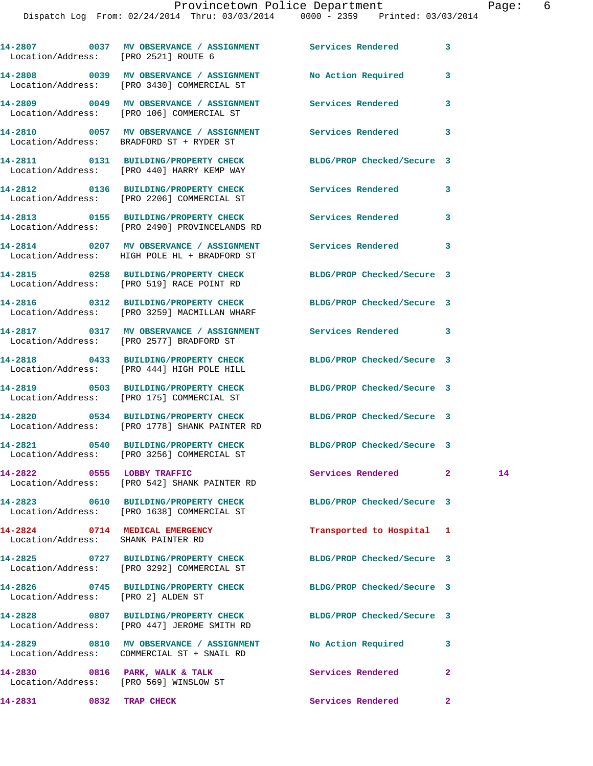| Location/Address: [PRO 2521] ROUTE 6                                     | 14-2807 0037 MV OBSERVANCE / ASSIGNMENT Services Rendered 3                                                     |                            |              |    |
|--------------------------------------------------------------------------|-----------------------------------------------------------------------------------------------------------------|----------------------------|--------------|----|
|                                                                          | 14-2808 0039 MV OBSERVANCE / ASSIGNMENT No Action Required<br>Location/Address: [PRO 3430] COMMERCIAL ST        |                            | 3            |    |
|                                                                          | 14-2809 6049 MV OBSERVANCE / ASSIGNMENT Services Rendered<br>Location/Address: [PRO 106] COMMERCIAL ST          |                            | 3            |    |
|                                                                          | 14-2810 0057 MV OBSERVANCE / ASSIGNMENT Services Rendered<br>Location/Address: BRADFORD ST + RYDER ST           |                            | 3            |    |
|                                                                          | 14-2811 0131 BUILDING/PROPERTY CHECK<br>Location/Address: [PRO 440] HARRY KEMP WAY                              | BLDG/PROP Checked/Secure 3 |              |    |
|                                                                          | 14-2812 0136 BUILDING/PROPERTY CHECK Services Rendered 3<br>Location/Address: [PRO 2206] COMMERCIAL ST          |                            |              |    |
|                                                                          | 14-2813 0155 BUILDING/PROPERTY CHECK Services Rendered<br>Location/Address: [PRO 2490] PROVINCELANDS RD         |                            | 3            |    |
|                                                                          | 14-2814 0207 MV OBSERVANCE / ASSIGNMENT Services Rendered 3<br>Location/Address: HIGH POLE HL + BRADFORD ST     |                            |              |    |
|                                                                          | 14-2815 0258 BUILDING/PROPERTY CHECK BLDG/PROP Checked/Secure 3<br>Location/Address: [PRO 519] RACE POINT RD    |                            |              |    |
|                                                                          | 14-2816 0312 BUILDING/PROPERTY CHECK BLDG/PROP Checked/Secure 3<br>Location/Address: [PRO 3259] MACMILLAN WHARF |                            |              |    |
|                                                                          | 14-2817 		 0317 MV OBSERVANCE / ASSIGNMENT Services Rendered 3<br>Location/Address: [PRO 2577] BRADFORD ST      |                            |              |    |
|                                                                          | 14-2818 0433 BUILDING/PROPERTY CHECK<br>Location/Address: [PRO 444] HIGH POLE HILL                              | BLDG/PROP Checked/Secure 3 |              |    |
|                                                                          | 14-2819 0503 BUILDING/PROPERTY CHECK<br>Location/Address: [PRO 175] COMMERCIAL ST                               | BLDG/PROP Checked/Secure 3 |              |    |
|                                                                          | 14-2820 0534 BUILDING/PROPERTY CHECK<br>Location/Address: [PRO 1778] SHANK PAINTER RD                           | BLDG/PROP Checked/Secure 3 |              |    |
|                                                                          | 14-2821 0540 BUILDING/PROPERTY CHECK<br>Location/Address: [PRO 3256] COMMERCIAL ST                              | BLDG/PROP Checked/Secure 3 |              |    |
| 14-2822 0555 LOBBY TRAFFIC                                               | Location/Address: [PRO 542] SHANK PAINTER RD                                                                    | Services Rendered 2        |              | 14 |
|                                                                          | 14-2823 0610 BUILDING/PROPERTY CHECK<br>Location/Address: [PRO 1638] COMMERCIAL ST                              | BLDG/PROP Checked/Secure 3 |              |    |
| 14-2824 0714 MEDICAL EMERGENCY<br>Location/Address: SHANK PAINTER RD     |                                                                                                                 | Transported to Hospital 1  |              |    |
|                                                                          | 14-2825 0727 BUILDING/PROPERTY CHECK<br>Location/Address: [PRO 3292] COMMERCIAL ST                              | BLDG/PROP Checked/Secure 3 |              |    |
| Location/Address: [PRO 2] ALDEN ST                                       | 14-2826 0745 BUILDING/PROPERTY CHECK                                                                            | BLDG/PROP Checked/Secure 3 |              |    |
|                                                                          | 14-2828 0807 BUILDING/PROPERTY CHECK<br>Location/Address: [PRO 447] JEROME SMITH RD                             | BLDG/PROP Checked/Secure 3 |              |    |
|                                                                          | 14-2829 0810 MV OBSERVANCE / ASSIGNMENT No Action Required<br>Location/Address: COMMERCIAL ST + SNAIL RD        |                            | 3            |    |
| 14-2830 0816 PARK, WALK & TALK<br>Location/Address: [PRO 569] WINSLOW ST |                                                                                                                 | Services Rendered          | $\mathbf{2}$ |    |

**14-2831** 0832 TRAP CHECK Services Rendered 2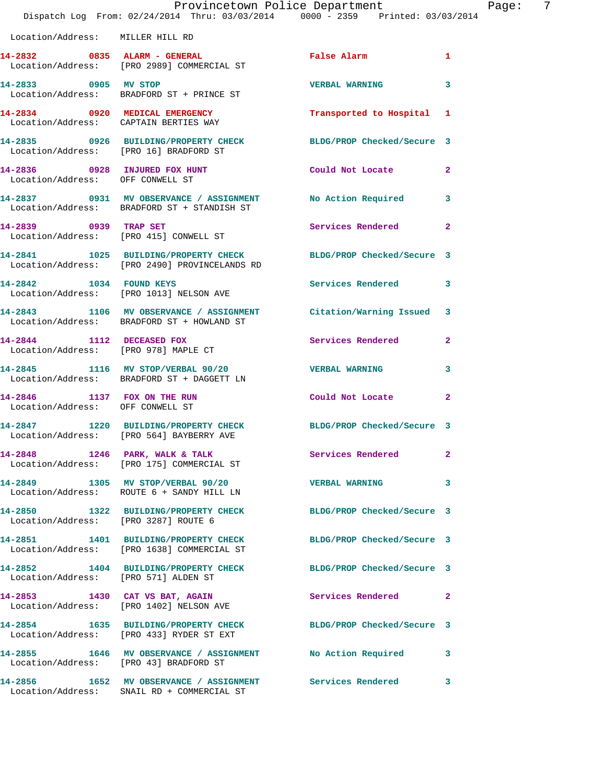|                                                                   | Provincetown Police Department<br>Dispatch Log From: 02/24/2014 Thru: 03/03/2014 0000 - 2359 Printed: 03/03/2014   |                            | 7<br>Page:   |
|-------------------------------------------------------------------|--------------------------------------------------------------------------------------------------------------------|----------------------------|--------------|
| Location/Address: MILLER HILL RD                                  |                                                                                                                    |                            |              |
|                                                                   | 14-2832 0835 ALARM - GENERAL<br>Location/Address: [PRO 2989] COMMERCIAL ST                                         | False Alarm                | $\mathbf{1}$ |
|                                                                   | 14-2833 0905 MV STOP<br>Location/Address: BRADFORD ST + PRINCE ST                                                  | <b>VERBAL WARNING</b>      | 3            |
|                                                                   | 14-2834 0920 MEDICAL EMERGENCY Transported to Hospital 1<br>Location/Address: CAPTAIN BERTIES WAY                  |                            |              |
|                                                                   | 14-2835 0926 BUILDING/PROPERTY CHECK BLDG/PROP Checked/Secure 3<br>Location/Address: [PRO 16] BRADFORD ST          |                            |              |
| 14-2836 0928 INJURED FOX HUNT<br>Location/Address: OFF CONWELL ST |                                                                                                                    | Could Not Locate 2         |              |
|                                                                   | 14-2837 0931 MV OBSERVANCE / ASSIGNMENT No Action Required 3<br>Location/Address: BRADFORD ST + STANDISH ST        |                            |              |
|                                                                   | 14-2839 0939 TRAP SET<br>Location/Address: [PRO 415] CONWELL ST                                                    | Services Rendered          | $\mathbf{2}$ |
|                                                                   | 14-2841 1025 BUILDING/PROPERTY CHECK BLDG/PROP Checked/Secure 3<br>Location/Address: [PRO 2490] PROVINCELANDS RD   |                            |              |
|                                                                   | 14-2842 1034 FOUND KEYS<br>Location/Address: [PRO 1013] NELSON AVE                                                 | Services Rendered 3        |              |
|                                                                   | 14-2843 1106 MV OBSERVANCE / ASSIGNMENT Citation/Warning Issued 3<br>Location/Address: BRADFORD ST + HOWLAND ST    |                            |              |
|                                                                   | 14-2844 1112 DECEASED FOX<br>Location/Address: [PRO 978] MAPLE CT                                                  | Services Rendered          | -2           |
|                                                                   | 14-2845 1116 MV STOP/VERBAL 90/20 VERBAL WARNING<br>Location/Address: BRADFORD ST + DAGGETT LN                     |                            | 3            |
| Location/Address: OFF CONWELL ST                                  | 14-2846 1137 FOX ON THE RUN Could Not Locate                                                                       |                            | -2           |
|                                                                   | 14-2847 1220 BUILDING/PROPERTY CHECK<br>Location/Address: [PRO 564] BAYBERRY AVE                                   | BLDG/PROP Checked/Secure 3 |              |
|                                                                   | 14-2848 1246 PARK, WALK & TALK<br>Location/Address: [PRO 175] COMMERCIAL ST                                        | Services Rendered          | $\mathbf{2}$ |
|                                                                   | 14-2849 1305 MV STOP/VERBAL 90/20<br>Location/Address: ROUTE 6 + SANDY HILL LN                                     | VERBAL WARNING 3           |              |
| Location/Address: [PRO 3287] ROUTE 6                              | 14-2850 1322 BUILDING/PROPERTY CHECK BLDG/PROP Checked/Secure 3                                                    |                            |              |
|                                                                   | 14-2851 1401 BUILDING/PROPERTY CHECK BLDG/PROP Checked/Secure 3<br>Location/Address: [PRO 1638] COMMERCIAL ST      |                            |              |
| Location/Address: [PRO 571] ALDEN ST                              | 14-2852 1404 BUILDING/PROPERTY CHECK BLDG/PROP Checked/Secure 3                                                    |                            |              |
|                                                                   | 14-2853 1430 CAT VS BAT, AGAIN<br>Location/Address: [PRO 1402] NELSON AVE                                          | <b>Services Rendered</b> 2 |              |
|                                                                   | 14-2854 1635 BUILDING/PROPERTY CHECK BLDG/PROP Checked/Secure 3<br>Location/Address: [PRO 433] RYDER ST EXT        |                            |              |
|                                                                   | 14-2855 1646 MV OBSERVANCE / ASSIGNMENT No Action Required 3<br>Location/Address: [PRO 43] BRADFORD ST             |                            |              |
|                                                                   | 14-2856               1652     MV  OBSERVANCE  /  ASSIGNMENT                 Services  Rendered                  3 |                            |              |

Location/Address: SNAIL RD + COMMERCIAL ST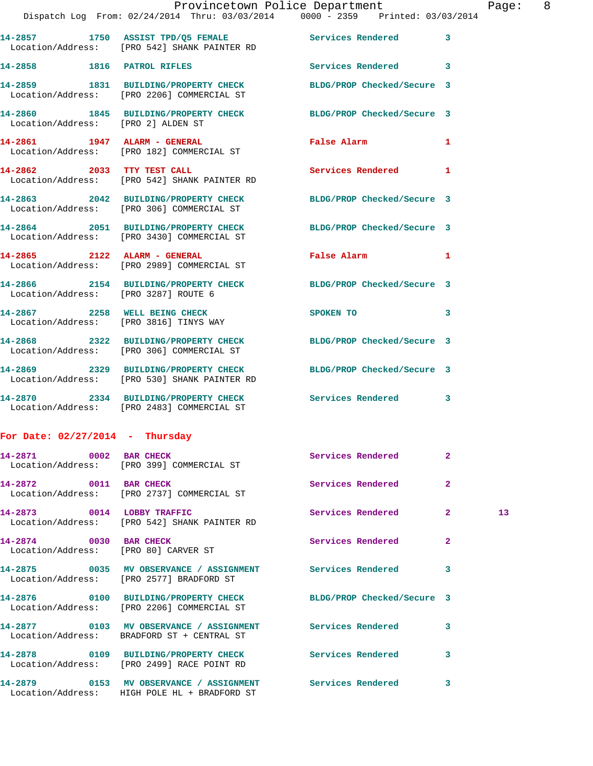|                                                                | Provincetown Police Department Page: 8<br>Dispatch Log From: 02/24/2014 Thru: 03/03/2014 0000 - 2359 Printed: 03/03/2014 |                            |                            |    |  |
|----------------------------------------------------------------|--------------------------------------------------------------------------------------------------------------------------|----------------------------|----------------------------|----|--|
|                                                                | 14-2857 1750 ASSIST TPD/Q5 FEMALE Services Rendered 3<br>Location/Address: [PRO 542] SHANK PAINTER RD                    |                            |                            |    |  |
|                                                                | 14-2858 1816 PATROL RIFLES                                                                                               | Services Rendered 3        |                            |    |  |
|                                                                | 14-2859 1831 BUILDING/PROPERTY CHECK BLDG/PROP Checked/Secure 3<br>Location/Address: [PRO 2206] COMMERCIAL ST            |                            |                            |    |  |
| Location/Address: [PRO 2] ALDEN ST                             | 14-2860 1845 BUILDING/PROPERTY CHECK BLDG/PROP Checked/Secure 3                                                          |                            |                            |    |  |
|                                                                | 14-2861 1947 ALARM - GENERAL<br>Location/Address: [PRO 182] COMMERCIAL ST                                                | False Alarm                | $\mathbf{1}$               |    |  |
|                                                                | 14-2862 2033 TTY TEST CALL<br>Location/Address: [PRO 542] SHANK PAINTER RD                                               | Services Rendered 1        |                            |    |  |
|                                                                | 14-2863 2042 BUILDING/PROPERTY CHECK BLDG/PROP Checked/Secure 3<br>Location/Address: [PRO 306] COMMERCIAL ST             |                            |                            |    |  |
|                                                                | 14-2864 2051 BUILDING/PROPERTY CHECK BLDG/PROP Checked/Secure 3<br>Location/Address: [PRO 3430] COMMERCIAL ST            |                            |                            |    |  |
|                                                                | 14-2865 2122 ALARM - GENERAL<br>Location/Address: [PRO 2989] COMMERCIAL ST                                               | False Alarm 1              |                            |    |  |
| Location/Address: [PRO 3287] ROUTE 6                           | 14-2866 2154 BUILDING/PROPERTY CHECK BLDG/PROP Checked/Secure 3                                                          |                            |                            |    |  |
|                                                                | 14-2867 2258 WELL BEING CHECK<br>Location/Address: [PRO 3816] TINYS WAY                                                  | SPOKEN TO                  | $\overline{\phantom{a}}$ 3 |    |  |
|                                                                | 14-2868 2322 BUILDING/PROPERTY CHECK BLDG/PROP Checked/Secure 3<br>Location/Address: [PRO 306] COMMERCIAL ST             |                            |                            |    |  |
|                                                                | 14-2869 2329 BUILDING/PROPERTY CHECK BLDG/PROP Checked/Secure 3<br>Location/Address: [PRO 530] SHANK PAINTER RD          |                            |                            |    |  |
|                                                                | 14-2870 2334 BUILDING/PROPERTY CHECK Services Rendered 3<br>Location/Address: [PRO 2483] COMMERCIAL ST                   |                            |                            |    |  |
| For Date: $02/27/2014$ - Thursday                              |                                                                                                                          |                            |                            |    |  |
|                                                                | 14-2871 0002 BAR CHECK<br>Location/Address: [PRO 399] COMMERCIAL ST                                                      | <b>Services Rendered</b>   | $\mathbf{2}$               |    |  |
|                                                                | 14-2872 0011 BAR CHECK<br>Location/Address: [PRO 2737] COMMERCIAL ST                                                     | Services Rendered          | $\mathbf{2}$               |    |  |
| 14-2873 0014 LOBBY TRAFFIC                                     | Location/Address: [PRO 542] SHANK PAINTER RD                                                                             | Services Rendered 2        |                            | 13 |  |
| 14-2874 0030 BAR CHECK<br>Location/Address: [PRO 80] CARVER ST |                                                                                                                          | Services Rendered          | $\mathbf{2}$               |    |  |
|                                                                | 14-2875 0035 MV OBSERVANCE / ASSIGNMENT Services Rendered 3<br>Location/Address: [PRO 2577] BRADFORD ST                  |                            |                            |    |  |
|                                                                | 14-2876 0100 BUILDING/PROPERTY CHECK<br>Location/Address: [PRO 2206] COMMERCIAL ST                                       | BLDG/PROP Checked/Secure 3 |                            |    |  |
|                                                                | 14-2877  0103 MV OBSERVANCE / ASSIGNMENT Services Rendered<br>Location/Address: BRADFORD ST + CENTRAL ST                 |                            | 3                          |    |  |
|                                                                | 14-2878  0109 BUILDING/PROPERTY CHECK Services Rendered<br>Location/Address: [PRO 2499] RACE POINT RD                    |                            | 3                          |    |  |
|                                                                | 14-2879 0153 MV OBSERVANCE / ASSIGNMENT Services Rendered 3<br>Location/Address: HIGH POLE HL + BRADFORD ST              |                            |                            |    |  |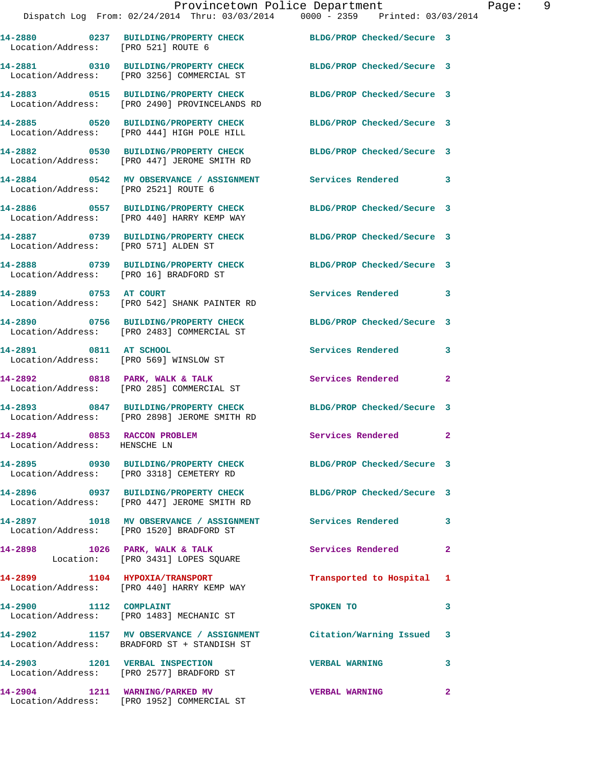**14-2881 0310 BUILDING/PROPERTY CHECK BLDG/PROP Checked/Secure 3** 

Location/Address: [PRO 440] HARRY KEMP WAY

Location/Address: [PRO 571] ALDEN ST

Location/Address: [PRO 569] WINSLOW ST

Location/Address: HENSCHE LN

Location/Address: [PRO 1483] MECHANIC ST

 Location/Address: [PRO 3256] COMMERCIAL ST **14-2883 0515 BUILDING/PROPERTY CHECK BLDG/PROP Checked/Secure 3**  Location/Address: [PRO 2490] PROVINCELANDS RD **14-2885 0520 BUILDING/PROPERTY CHECK BLDG/PROP Checked/Secure 3**  Location/Address: [PRO 444] HIGH POLE HILL

**14-2882 0530 BUILDING/PROPERTY CHECK BLDG/PROP Checked/Secure 3**  Location/Address: [PRO 447] JEROME SMITH RD

**14-2884 0542 MV OBSERVANCE / ASSIGNMENT Services Rendered 3**  Location/Address: [PRO 2521] ROUTE 6

**14-2887 0739 BUILDING/PROPERTY CHECK BLDG/PROP Checked/Secure 3** 

Location/Address: [PRO 16] BRADFORD ST

**14-2889 0753 AT COURT Services Rendered 3**  Location/Address: [PRO 542] SHANK PAINTER RD

Location/Address: [PRO 2483] COMMERCIAL ST

14-2892 0818 PARK, WALK & TALK **Services Rendered** 2 Location/Address: [PRO 285] COMMERCIAL ST

**14-2893 0847 BUILDING/PROPERTY CHECK BLDG/PROP Checked/Secure 3**  Location/Address: [PRO 2898] JEROME SMITH RD

Location/Address: [PRO 3318] CEMETERY RD

Location/Address: [PRO 447] JEROME SMITH RD

**14-2897 1018 MV OBSERVANCE / ASSIGNMENT Services Rendered 3**  Location/Address: [PRO 1520] BRADFORD ST

**14-2898 1026 PARK, WALK & TALK Services Rendered 2**  Location: [PRO 3431] LOPES SQUARE

Location/Address: [PRO 440] HARRY KEMP WAY

**14-2900 1112 COMPLAINT SPOKEN TO 3** 

Location/Address: BRADFORD ST + STANDISH ST

Location/Address: [PRO 2577] BRADFORD ST

**14-2904 1211 WARNING/PARKED MV VERBAL WARNING 2**  Location/Address: [PRO 1952] COMMERCIAL ST

**14-2886 0557 BUILDING/PROPERTY CHECK BLDG/PROP Checked/Secure 3** 

**14-2888 0739 BUILDING/PROPERTY CHECK BLDG/PROP Checked/Secure 3** 

**14-2890 0756 BUILDING/PROPERTY CHECK BLDG/PROP Checked/Secure 3** 

**14-2891 0811 AT SCHOOL Services Rendered 3** 

**14-2894 0853 RACCON PROBLEM Services Rendered 2** 

**14-2895 0930 BUILDING/PROPERTY CHECK BLDG/PROP Checked/Secure 3** 

**14-2896 0937 BUILDING/PROPERTY CHECK BLDG/PROP Checked/Secure 3** 

**14-2899 1104 HYPOXIA/TRANSPORT Transported to Hospital 1** 

**14-2902 1157 MV OBSERVANCE / ASSIGNMENT Citation/Warning Issued 3** 

**14-2903 1201 VERBAL INSPECTION VERBAL WARNING 3**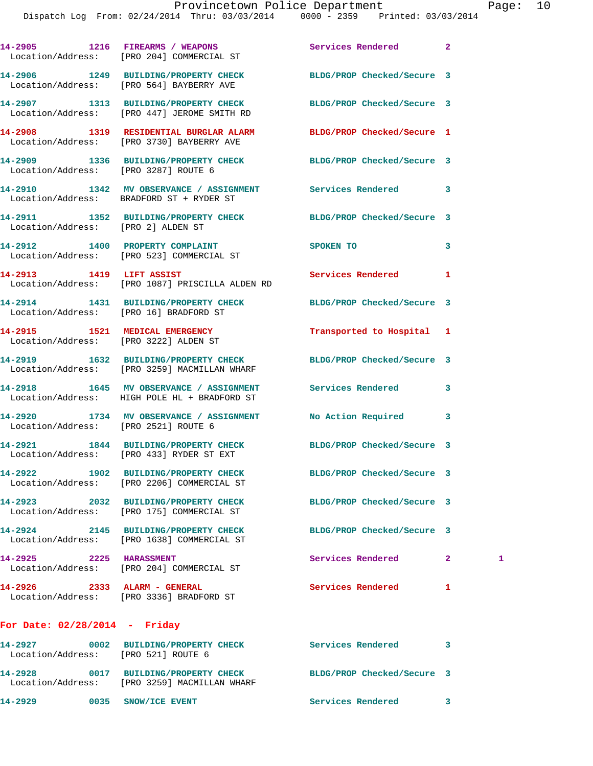|                                                                         | 14-2905 1216 FIREARMS / WEAPONS<br>Location/Address: [PRO 204] COMMERCIAL ST                                   | Services Rendered          | $\overline{2}$ |   |
|-------------------------------------------------------------------------|----------------------------------------------------------------------------------------------------------------|----------------------------|----------------|---|
|                                                                         | 14-2906 1249 BUILDING/PROPERTY CHECK<br>Location/Address: [PRO 564] BAYBERRY AVE                               | BLDG/PROP Checked/Secure 3 |                |   |
|                                                                         | 14-2907 1313 BUILDING/PROPERTY CHECK BLDG/PROP Checked/Secure 3<br>Location/Address: [PRO 447] JEROME SMITH RD |                            |                |   |
|                                                                         | 14-2908 1319 RESIDENTIAL BURGLAR ALARM BLDG/PROP Checked/Secure 1<br>Location/Address: [PRO 3730] BAYBERRY AVE |                            |                |   |
| Location/Address: [PRO 3287] ROUTE 6                                    | 14-2909 1336 BUILDING/PROPERTY CHECK BLDG/PROP Checked/Secure 3                                                |                            |                |   |
|                                                                         | 14-2910 1342 MV OBSERVANCE / ASSIGNMENT Services Rendered 3<br>Location/Address: BRADFORD ST + RYDER ST        |                            |                |   |
| Location/Address: [PRO 2] ALDEN ST                                      | 14-2911 1352 BUILDING/PROPERTY CHECK BLDG/PROP Checked/Secure 3                                                |                            |                |   |
|                                                                         | 14-2912 1400 PROPERTY COMPLAINT<br>Location/Address: [PRO 523] COMMERCIAL ST                                   | SPOKEN TO                  | 3              |   |
|                                                                         | 14-2913 1419 LIFT ASSIST<br>Location/Address: [PRO 1087] PRISCILLA ALDEN RD                                    | Services Rendered          | 1              |   |
| Location/Address: [PRO 16] BRADFORD ST                                  | 14-2914 1431 BUILDING/PROPERTY CHECK BLDG/PROP Checked/Secure 3                                                |                            |                |   |
| 14-2915 1521 MEDICAL EMERGENCY<br>Location/Address: [PRO 3222] ALDEN ST |                                                                                                                | Transported to Hospital 1  |                |   |
|                                                                         | 14-2919 1632 BUILDING/PROPERTY CHECK<br>Location/Address: [PRO 3259] MACMILLAN WHARF                           | BLDG/PROP Checked/Secure 3 |                |   |
|                                                                         | 14-2918 1645 MV OBSERVANCE / ASSIGNMENT Services Rendered<br>Location/Address: HIGH POLE HL + BRADFORD ST      |                            | 3              |   |
| Location/Address: [PRO 2521] ROUTE 6                                    | 14-2920 1734 MV OBSERVANCE / ASSIGNMENT No Action Required                                                     |                            | 3              |   |
|                                                                         | 14-2921 1844 BUILDING/PROPERTY CHECK BLDG/PROP Checked/Secure 3<br>Location/Address: [PRO 433] RYDER ST EXT    |                            |                |   |
| 14-2922                                                                 | 1902 BUILDING/PROPERTY CHECK<br>Location/Address: [PRO 2206] COMMERCIAL ST                                     | BLDG/PROP Checked/Secure 3 |                |   |
|                                                                         | 14-2923 2032 BUILDING/PROPERTY CHECK<br>Location/Address: [PRO 175] COMMERCIAL ST                              | BLDG/PROP Checked/Secure 3 |                |   |
|                                                                         | 14-2924 2145 BUILDING/PROPERTY CHECK<br>Location/Address: [PRO 1638] COMMERCIAL ST                             | BLDG/PROP Checked/Secure 3 |                |   |
| 14-2925 2225 HARASSMENT                                                 | Location/Address: [PRO 204] COMMERCIAL ST                                                                      | Services Rendered          | $\mathbf{2}$   | 1 |
| 14-2926 2333 ALARM - GENERAL                                            | Location/Address: [PRO 3336] BRADFORD ST                                                                       | Services Rendered          | 1              |   |
| For Date: $02/28/2014$ - Friday                                         |                                                                                                                |                            |                |   |
| Location/Address: [PRO 521] ROUTE 6                                     |                                                                                                                | Services Rendered          | 3              |   |

- **14-2928 0017 BUILDING/PROPERTY CHECK BLDG/PROP Checked/Secure 3**  Location/Address: [PRO 3259] MACMILLAN WHARF
- **14-2929 0035 SNOW/ICE EVENT Services Rendered 3**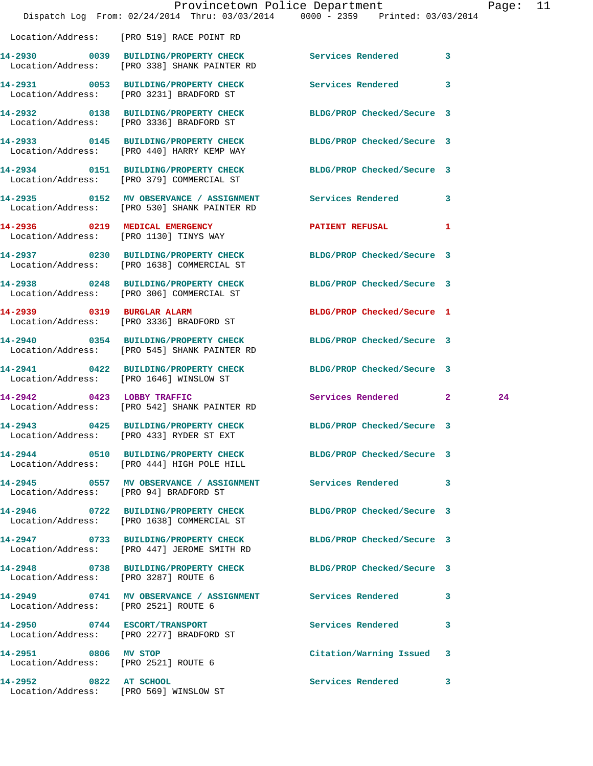|                                                                  | Dispatch Log From: 02/24/2014 Thru: 03/03/2014 0000 - 2359 Printed: 03/03/2014                                  | Provincetown Police Department |   | Page: 11 |  |
|------------------------------------------------------------------|-----------------------------------------------------------------------------------------------------------------|--------------------------------|---|----------|--|
|                                                                  | Location/Address: [PRO 519] RACE POINT RD                                                                       |                                |   |          |  |
|                                                                  | 14-2930 0039 BUILDING/PROPERTY CHECK Services Rendered 3<br>Location/Address: [PRO 338] SHANK PAINTER RD        |                                |   |          |  |
|                                                                  | 14-2931 0053 BUILDING/PROPERTY CHECK Services Rendered 3<br>Location/Address: [PRO 3231] BRADFORD ST            |                                |   |          |  |
|                                                                  | 14-2932 0138 BUILDING/PROPERTY CHECK<br>Location/Address: [PRO 3336] BRADFORD ST                                | BLDG/PROP Checked/Secure 3     |   |          |  |
|                                                                  | 14-2933 0145 BUILDING/PROPERTY CHECK BLDG/PROP Checked/Secure 3<br>Location/Address: [PRO 440] HARRY KEMP WAY   |                                |   |          |  |
|                                                                  | 14-2934 0151 BUILDING/PROPERTY CHECK BLDG/PROP Checked/Secure 3<br>Location/Address: [PRO 379] COMMERCIAL ST    |                                |   |          |  |
|                                                                  | 14-2935 0152 MV OBSERVANCE / ASSIGNMENT<br>Location/Address: [PRO 530] SHANK PAINTER RD                         | Services Rendered 3            |   |          |  |
|                                                                  | 14-2936 0219 MEDICAL EMERGENCY<br>Location/Address: [PRO 1130] TINYS WAY                                        | PATIENT REFUSAL 1              |   |          |  |
|                                                                  | 14-2937 0230 BUILDING/PROPERTY CHECK BLDG/PROP Checked/Secure 3<br>Location/Address: [PRO 1638] COMMERCIAL ST   |                                |   |          |  |
|                                                                  | 14-2938 0248 BUILDING/PROPERTY CHECK<br>Location/Address: [PRO 306] COMMERCIAL ST                               | BLDG/PROP Checked/Secure 3     |   |          |  |
|                                                                  | 14-2939 0319 BURGLAR ALARM<br>Location/Address: [PRO 3336] BRADFORD ST                                          | BLDG/PROP Checked/Secure 1     |   |          |  |
|                                                                  | 14-2940 0354 BUILDING/PROPERTY CHECK BLDG/PROP Checked/Secure 3<br>Location/Address: [PRO 545] SHANK PAINTER RD |                                |   |          |  |
|                                                                  | 14-2941 0422 BUILDING/PROPERTY CHECK<br>Location/Address: [PRO 1646] WINSLOW ST                                 | BLDG/PROP Checked/Secure 3     |   |          |  |
| 14-2942 0423 LOBBY TRAFFIC                                       | Location/Address: [PRO 542] SHANK PAINTER RD                                                                    | Services Rendered 2            |   | 24       |  |
| 14-2943                                                          | 0425 BUILDING/PROPERTY CHECK<br>Location/Address: [PRO 433] RYDER ST EXT                                        | BLDG/PROP Checked/Secure 3     |   |          |  |
|                                                                  | 14-2944 0510 BUILDING/PROPERTY CHECK BLDG/PROP Checked/Secure 3<br>Location/Address: [PRO 444] HIGH POLE HILL   |                                |   |          |  |
| Location/Address: [PRO 94] BRADFORD ST                           | 14-2945 0557 MV OBSERVANCE / ASSIGNMENT Services Rendered 3                                                     |                                |   |          |  |
|                                                                  | 14-2946 0722 BUILDING/PROPERTY CHECK<br>Location/Address: [PRO 1638] COMMERCIAL ST                              | BLDG/PROP Checked/Secure 3     |   |          |  |
|                                                                  | 14-2947 0733 BUILDING/PROPERTY CHECK BLDG/PROP Checked/Secure 3<br>Location/Address: [PRO 447] JEROME SMITH RD  |                                |   |          |  |
| Location/Address: [PRO 3287] ROUTE 6                             | 14-2948 0738 BUILDING/PROPERTY CHECK BLDG/PROP Checked/Secure 3                                                 |                                |   |          |  |
| Location/Address: [PRO 2521] ROUTE 6                             | 14-2949 0741 MV OBSERVANCE / ASSIGNMENT Services Rendered                                                       |                                | 3 |          |  |
|                                                                  | 14-2950 0744 ESCORT/TRANSPORT<br>Location/Address: [PRO 2277] BRADFORD ST                                       | Services Rendered 3            |   |          |  |
| 14-2951 0806 MV STOP<br>Location/Address: [PRO 2521] ROUTE 6     |                                                                                                                 | Citation/Warning Issued 3      |   |          |  |
| 14-2952 0822 AT SCHOOL<br>Location/Address: [PRO 569] WINSLOW ST |                                                                                                                 | Services Rendered 3            |   |          |  |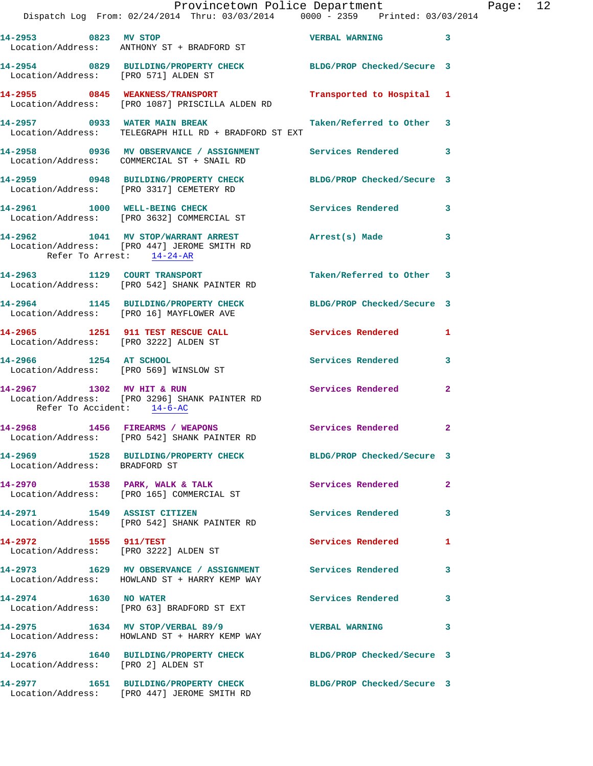|                                                                  | Provincetown Police Department<br>Dispatch Log From: 02/24/2014 Thru: 03/03/2014 0000 - 2359 Printed: 03/03/2014 |                           |              | Page: $12$ |  |
|------------------------------------------------------------------|------------------------------------------------------------------------------------------------------------------|---------------------------|--------------|------------|--|
|                                                                  | 14-2953 0823 MV STOP<br>Location/Address: ANTHONY ST + BRADFORD ST                                               | <b>VERBAL WARNING 3</b>   |              |            |  |
| Location/Address: [PRO 571] ALDEN ST                             | 14-2954 0829 BUILDING/PROPERTY CHECK BLDG/PROP Checked/Secure 3                                                  |                           |              |            |  |
|                                                                  |                                                                                                                  | Transported to Hospital 1 |              |            |  |
| 14-2957 0933 WATER MAIN BREAK                                    | Location/Address: TELEGRAPH HILL RD + BRADFORD ST EXT                                                            | Taken/Referred to Other 3 |              |            |  |
|                                                                  | 14-2958 0936 MV OBSERVANCE / ASSIGNMENT Services Rendered 3<br>Location/Address: COMMERCIAL ST + SNAIL RD        |                           |              |            |  |
|                                                                  | 14-2959 0948 BUILDING/PROPERTY CHECK BLDG/PROP Checked/Secure 3<br>Location/Address: [PRO 3317] CEMETERY RD      |                           |              |            |  |
|                                                                  | 14-2961 1000 WELL-BEING CHECK<br>Location/Address: [PRO 3632] COMMERCIAL ST                                      | Services Rendered 3       |              |            |  |
| Refer To Arrest: 14-24-AR                                        | 14-2962 1041 MV STOP/WARRANT ARREST<br>Location/Address: [PRO 447] JEROME SMITH RD                               | Arrest(s) Made            | 3            |            |  |
|                                                                  | 14-2963 1129 COURT TRANSPORT<br>Location/Address: [PRO 542] SHANK PAINTER RD                                     | Taken/Referred to Other 3 |              |            |  |
|                                                                  | 14-2964 1145 BUILDING/PROPERTY CHECK BLDG/PROP Checked/Secure 3<br>Location/Address: [PRO 16] MAYFLOWER AVE      |                           |              |            |  |
| Location/Address: [PRO 3222] ALDEN ST                            | 14-2965 1251 911 TEST RESCUE CALL                                                                                | Services Rendered 1       |              |            |  |
| 14-2966 1254 AT SCHOOL<br>Location/Address: [PRO 569] WINSLOW ST |                                                                                                                  | Services Rendered 3       |              |            |  |
| 14-2967 1302 MV HIT & RUN<br>Refer To Accident: 14-6-AC          | Location/Address: [PRO 3296] SHANK PAINTER RD                                                                    | Services Rendered         | $\mathbf{2}$ |            |  |
|                                                                  | 14-2968 1456 FIREARMS / WEAPONS Services Rendered 2<br>Location/Address: [PRO 542] SHANK PAINTER RD              |                           |              |            |  |
| Location/Address: BRADFORD ST                                    | 14-2969 1528 BUILDING/PROPERTY CHECK BLDG/PROP Checked/Secure 3                                                  |                           |              |            |  |
|                                                                  | 14-2970 1538 PARK, WALK & TALK<br>Location/Address: [PRO 165] COMMERCIAL ST                                      | Services Rendered         | $\mathbf{2}$ |            |  |
|                                                                  | 14-2971 1549 ASSIST CITIZEN<br>Location/Address: [PRO 542] SHANK PAINTER RD                                      | Services Rendered 3       |              |            |  |
| 14-2972 1555 911/TEST                                            | Location/Address: [PRO 3222] ALDEN ST                                                                            | Services Rendered         | 1            |            |  |
|                                                                  | 14-2973 1629 MV OBSERVANCE / ASSIGNMENT Services Rendered<br>Location/Address: HOWLAND ST + HARRY KEMP WAY       |                           | 3            |            |  |
|                                                                  | 14-2974 1630 NO WATER<br>Location/Address: [PRO 63] BRADFORD ST EXT                                              | Services Rendered 3       |              |            |  |
|                                                                  | 14-2975 1634 MV STOP/VERBAL 89/9<br>Location/Address: HOWLAND ST + HARRY KEMP WAY                                | <b>VERBAL WARNING</b>     | 3            |            |  |
| Location/Address: [PRO 2] ALDEN ST                               | 14-2976 1640 BUILDING/PROPERTY CHECK BLDG/PROP Checked/Secure 3                                                  |                           |              |            |  |
|                                                                  | 14-2977 1651 BUILDING/PROPERTY CHECK BLDG/PROP Checked/Secure 3<br>Location/Address: [PRO 447] JEROME SMITH RD   |                           |              |            |  |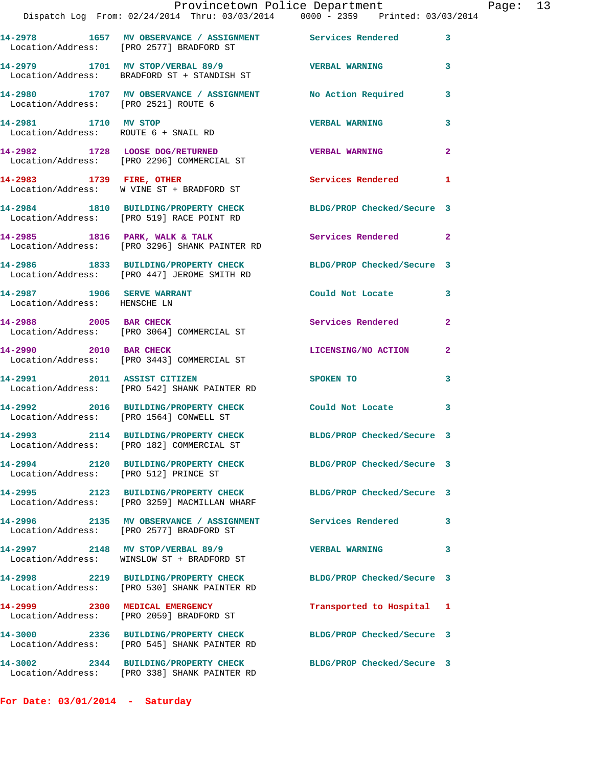|                                                            | Provincetown Police Department<br>Dispatch Log From: 02/24/2014 Thru: 03/03/2014   0000 - 2359   Printed: 03/03/2014 |                            |              |
|------------------------------------------------------------|----------------------------------------------------------------------------------------------------------------------|----------------------------|--------------|
|                                                            | 14-2978 1657 MV OBSERVANCE / ASSIGNMENT Services Rendered<br>Location/Address: [PRO 2577] BRADFORD ST                |                            | 3            |
|                                                            | 14-2979 1701 MV STOP/VERBAL 89/9<br>Location/Address: BRADFORD ST + STANDISH ST                                      | <b>VERBAL WARNING</b>      | 3            |
| Location/Address: [PRO 2521] ROUTE 6                       | 14-2980 1707 MV OBSERVANCE / ASSIGNMENT No Action Required                                                           |                            | 3            |
| 14-2981 1710 MV STOP                                       | Location/Address: ROUTE 6 + SNAIL RD                                                                                 | <b>VERBAL WARNING</b>      | 3            |
|                                                            | 14-2982 1728 LOOSE DOG/RETURNED<br>Location/Address: [PRO 2296] COMMERCIAL ST                                        | <b>VERBAL WARNING</b>      | $\mathbf{2}$ |
|                                                            | 14-2983 1739 FIRE, OTHER<br>Location/Address: W VINE ST + BRADFORD ST                                                | Services Rendered          | 1            |
|                                                            | 14-2984 1810 BUILDING/PROPERTY CHECK BLDG/PROP Checked/Secure 3<br>Location/Address: [PRO 519] RACE POINT RD         |                            |              |
|                                                            | 14-2985 1816 PARK, WALK & TALK Services Rendered<br>Location/Address: [PRO 3296] SHANK PAINTER RD                    |                            | $\mathbf{2}$ |
|                                                            | 14-2986 1833 BUILDING/PROPERTY CHECK BLDG/PROP Checked/Secure 3<br>Location/Address: [PRO 447] JEROME SMITH RD       |                            |              |
| 14-2987 1906 SERVE WARRANT<br>Location/Address: HENSCHE LN |                                                                                                                      | Could Not Locate           | 3            |
|                                                            | 14-2988 2005 BAR CHECK<br>Location/Address: [PRO 3064] COMMERCIAL ST                                                 | <b>Services Rendered</b>   | $\mathbf{2}$ |
| 14-2990 2010 BAR CHECK                                     | Location/Address: [PRO 3443] COMMERCIAL ST                                                                           | LICENSING/NO ACTION        | $\mathbf{2}$ |
|                                                            | 14-2991 2011 ASSIST CITIZEN<br>Location/Address: [PRO 542] SHANK PAINTER RD                                          | <b>SPOKEN TO</b>           | 3            |
|                                                            | 14-2992 2016 BUILDING/PROPERTY CHECK Could Not Locate<br>Location/Address: [PRO 1564] CONWELL ST                     |                            | 3            |
|                                                            | 14-2993 2114 BUILDING/PROPERTY CHECK<br>Location/Address: [PRO 182] COMMERCIAL ST                                    | BLDG/PROP Checked/Secure 3 |              |
| Location/Address: [PRO 512] PRINCE ST                      | 14-2994 2120 BUILDING/PROPERTY CHECK                                                                                 | BLDG/PROP Checked/Secure 3 |              |
|                                                            | 14-2995 2123 BUILDING/PROPERTY CHECK<br>Location/Address: [PRO 3259] MACMILLAN WHARF                                 | BLDG/PROP Checked/Secure 3 |              |
|                                                            | 14-2996 2135 MV OBSERVANCE / ASSIGNMENT Services Rendered<br>Location/Address: [PRO 2577] BRADFORD ST                |                            | 3            |
|                                                            | 14-2997 2148 MV STOP/VERBAL 89/9<br>Location/Address: WINSLOW ST + BRADFORD ST                                       | <b>VERBAL WARNING</b>      | 3            |
|                                                            | 14-2998 2219 BUILDING/PROPERTY CHECK BLDG/PROP Checked/Secure 3<br>Location/Address: [PRO 530] SHANK PAINTER RD      |                            |              |
|                                                            | 14-2999 2300 MEDICAL EMERGENCY<br>Location/Address: [PRO 2059] BRADFORD ST                                           | Transported to Hospital    | 1            |
|                                                            | 14-3000 2336 BUILDING/PROPERTY CHECK<br>Location/Address: [PRO 545] SHANK PAINTER RD                                 | BLDG/PROP Checked/Secure 3 |              |
|                                                            | 14-3002 2344 BUILDING/PROPERTY CHECK<br>Location/Address: [PRO 338] SHANK PAINTER RD                                 | BLDG/PROP Checked/Secure 3 |              |

**For Date: 03/01/2014 - Saturday**

Page: 13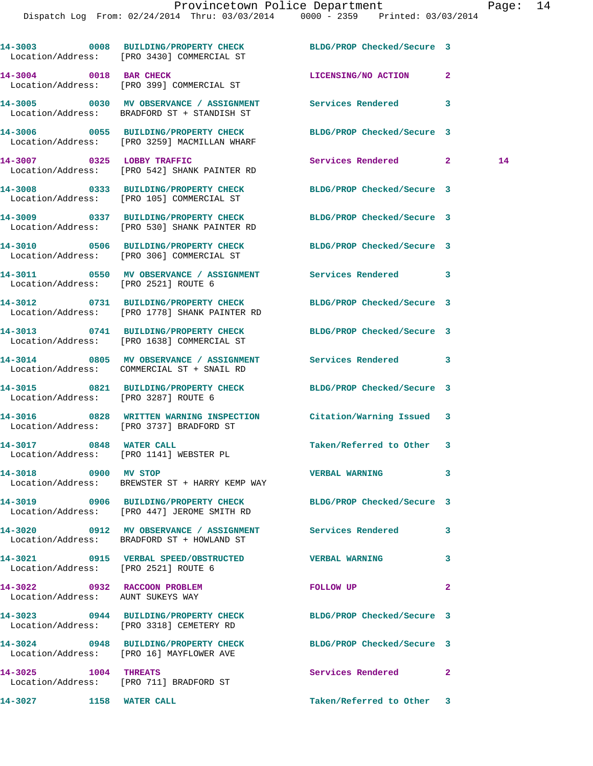|                                                                   | 14-3003 0008 BUILDING/PROPERTY CHECK<br>Location/Address: [PRO 3430] COMMERCIAL ST                             | BLDG/PROP Checked/Secure 3 |                    |
|-------------------------------------------------------------------|----------------------------------------------------------------------------------------------------------------|----------------------------|--------------------|
| 14-3004 0018 BAR CHECK                                            | Location/Address: [PRO 399] COMMERCIAL ST                                                                      | LICENSING/NO ACTION 2      |                    |
|                                                                   | 14-3005 0030 MV OBSERVANCE / ASSIGNMENT Services Rendered<br>Location/Address: BRADFORD ST + STANDISH ST       |                            | 3                  |
|                                                                   | 14-3006 0055 BUILDING/PROPERTY CHECK<br>Location/Address: [PRO 3259] MACMILLAN WHARF                           | BLDG/PROP Checked/Secure 3 |                    |
|                                                                   | 14-3007 0325 LOBBY TRAFFIC<br>Location/Address: [PRO 542] SHANK PAINTER RD                                     | Services Rendered          | $\mathbf{2}$<br>14 |
|                                                                   | 14-3008 0333 BUILDING/PROPERTY CHECK<br>Location/Address: [PRO 105] COMMERCIAL ST                              | BLDG/PROP Checked/Secure 3 |                    |
|                                                                   | 14-3009 0337 BUILDING/PROPERTY CHECK<br>Location/Address: [PRO 530] SHANK PAINTER RD                           | BLDG/PROP Checked/Secure 3 |                    |
|                                                                   | 14-3010 0506 BUILDING/PROPERTY CHECK BLDG/PROP Checked/Secure 3<br>Location/Address: [PRO 306] COMMERCIAL ST   |                            |                    |
| Location/Address: [PRO 2521] ROUTE 6                              | 14-3011 0550 MV OBSERVANCE / ASSIGNMENT Services Rendered 3                                                    |                            |                    |
|                                                                   | 14-3012 0731 BUILDING/PROPERTY CHECK<br>Location/Address: [PRO 1778] SHANK PAINTER RD                          | BLDG/PROP Checked/Secure 3 |                    |
|                                                                   | 14-3013 0741 BUILDING/PROPERTY CHECK BLDG/PROP Checked/Secure 3<br>Location/Address: [PRO 1638] COMMERCIAL ST  |                            |                    |
|                                                                   | 14-3014 0805 MV OBSERVANCE / ASSIGNMENT Services Rendered 3<br>Location/Address: COMMERCIAL ST + SNAIL RD      |                            |                    |
| Location/Address: [PRO 3287] ROUTE 6                              | 14-3015 0821 BUILDING/PROPERTY CHECK BLDG/PROP Checked/Secure 3                                                |                            |                    |
|                                                                   | 14-3016 0828 WRITTEN WARNING INSPECTION Citation/Warning Issued 3<br>Location/Address: [PRO 3737] BRADFORD ST  |                            |                    |
| 14-3017 0848 WATER CALL                                           | Location/Address: [PRO 1141] WEBSTER PL                                                                        | Taken/Referred to Other 3  |                    |
| 14-3018 0900 MV STOP                                              | Location/Address: BREWSTER ST + HARRY KEMP WAY                                                                 | <b>VERBAL WARNING</b>      | -3-                |
|                                                                   | 14-3019 0906 BUILDING/PROPERTY CHECK BLDG/PROP Checked/Secure 3<br>Location/Address: [PRO 447] JEROME SMITH RD |                            |                    |
|                                                                   | 14-3020 0912 MV OBSERVANCE / ASSIGNMENT Services Rendered<br>Location/Address: BRADFORD ST + HOWLAND ST        |                            | 3                  |
| Location/Address: [PRO 2521] ROUTE 6                              | 14-3021 0915 VERBAL SPEED/OBSTRUCTED VERBAL WARNING                                                            |                            | 3                  |
| 14-3022 0932 RACCOON PROBLEM<br>Location/Address: AUNT SUKEYS WAY |                                                                                                                | FOLLOW UP                  | $\mathbf{2}$       |
|                                                                   | 14-3023 0944 BUILDING/PROPERTY CHECK<br>Location/Address: [PRO 3318] CEMETERY RD                               | BLDG/PROP Checked/Secure 3 |                    |
|                                                                   | 14-3024 0948 BUILDING/PROPERTY CHECK<br>Location/Address: [PRO 16] MAYFLOWER AVE                               | BLDG/PROP Checked/Secure 3 |                    |
| 14-3025 1004 THREATS                                              | Location/Address: [PRO 711] BRADFORD ST                                                                        | Services Rendered          | $\mathbf{2}$       |
| 14-3027 1158 WATER CALL                                           |                                                                                                                | Taken/Referred to Other 3  |                    |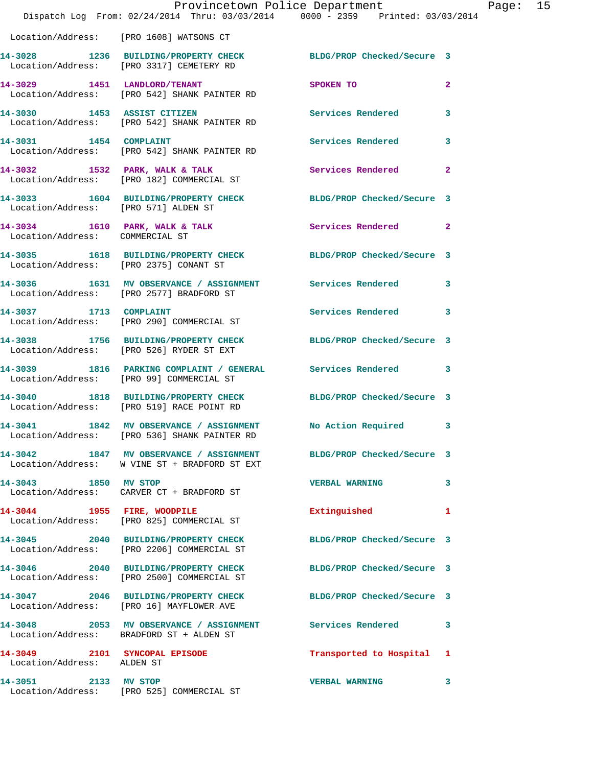|                                        | Provincetown Police Department<br>Dispatch Log From: 02/24/2014 Thru: 03/03/2014 0000 - 2359 Printed: 03/03/2014    |                            | Page: 15                |
|----------------------------------------|---------------------------------------------------------------------------------------------------------------------|----------------------------|-------------------------|
|                                        | Location/Address: [PRO 1608] WATSONS CT                                                                             |                            |                         |
|                                        | 14-3028 1236 BUILDING/PROPERTY CHECK BLDG/PROP Checked/Secure 3<br>Location/Address: [PRO 3317] CEMETERY RD         |                            |                         |
|                                        | 14-3029 1451 LANDLORD/TENANT<br>Location/Address: [PRO 542] SHANK PAINTER RD                                        | SPOKEN TO                  | $\overline{a}$          |
|                                        | 14-3030 1453 ASSIST CITIZEN<br>Location/Address: [PRO 542] SHANK PAINTER RD                                         | <b>Services Rendered</b>   | $\overline{\mathbf{3}}$ |
|                                        | 14-3031 1454 COMPLAINT<br>Location/Address: [PRO 542] SHANK PAINTER RD                                              | Services Rendered          | 3                       |
|                                        | 14-3032 1532 PARK, WALK & TALK<br>Location/Address: [PRO 182] COMMERCIAL ST                                         | Services Rendered          | $\overline{2}$          |
| Location/Address: [PRO 571] ALDEN ST   | 14-3033 1604 BUILDING/PROPERTY CHECK BLDG/PROP Checked/Secure 3                                                     |                            |                         |
| Location/Address: COMMERCIAL ST        | 14-3034 1610 PARK, WALK & TALK 1997 Services Rendered 2                                                             |                            |                         |
| Location/Address: [PRO 2375] CONANT ST | 14-3035 1618 BUILDING/PROPERTY CHECK BLDG/PROP Checked/Secure 3                                                     |                            |                         |
|                                        | 14-3036 1631 MV OBSERVANCE / ASSIGNMENT Services Rendered 3<br>Location/Address: [PRO 2577] BRADFORD ST             |                            |                         |
|                                        | 14-3037 1713 COMPLAINT<br>Location/Address: [PRO 290] COMMERCIAL ST                                                 | Services Rendered 3        |                         |
|                                        | 14-3038 1756 BUILDING/PROPERTY CHECK BLDG/PROP Checked/Secure 3<br>Location/Address: [PRO 526] RYDER ST EXT         |                            |                         |
|                                        | 14-3039 1816 PARKING COMPLAINT / GENERAL Services Rendered 3<br>Location/Address: [PRO 99] COMMERCIAL ST            |                            |                         |
|                                        | 14-3040 1818 BUILDING/PROPERTY CHECK BLDG/PROP Checked/Secure 3<br>Location/Address: [PRO 519] RACE POINT RD        |                            |                         |
|                                        | 14-3041 1842 MV OBSERVANCE / ASSIGNMENT No Action Required 3<br>Location/Address: [PRO 536] SHANK PAINTER RD        |                            |                         |
|                                        | 14-3042 1847 MV OBSERVANCE / ASSIGNMENT BLDG/PROP Checked/Secure 3<br>Location/Address: W VINE ST + BRADFORD ST EXT |                            |                         |
| 14-3043 1850 MV STOP                   | Location/Address: CARVER CT + BRADFORD ST                                                                           | <b>VERBAL WARNING</b>      | 3                       |
|                                        | 14-3044 1955 FIRE, WOODPILE<br>Location/Address: [PRO 825] COMMERCIAL ST                                            | Extinguished               | 1                       |
|                                        | 14-3045 2040 BUILDING/PROPERTY CHECK<br>Location/Address: [PRO 2206] COMMERCIAL ST                                  | BLDG/PROP Checked/Secure 3 |                         |
|                                        | 14-3046 2040 BUILDING/PROPERTY CHECK<br>Location/Address: [PRO 2500] COMMERCIAL ST                                  | BLDG/PROP Checked/Secure 3 |                         |
|                                        | 14-3047 2046 BUILDING/PROPERTY CHECK<br>Location/Address: [PRO 16] MAYFLOWER AVE                                    | BLDG/PROP Checked/Secure 3 |                         |
|                                        | 14-3048 2053 MV OBSERVANCE / ASSIGNMENT Services Rendered 3<br>Location/Address: BRADFORD ST + ALDEN ST             |                            |                         |
| Location/Address: ALDEN ST             | 14-3049 2101 SYNCOPAL EPISODE                                                                                       | Transported to Hospital 1  |                         |
| 14-3051 2133 MV STOP                   | Location/Address: [PRO 525] COMMERCIAL ST                                                                           | <b>VERBAL WARNING</b>      | 3                       |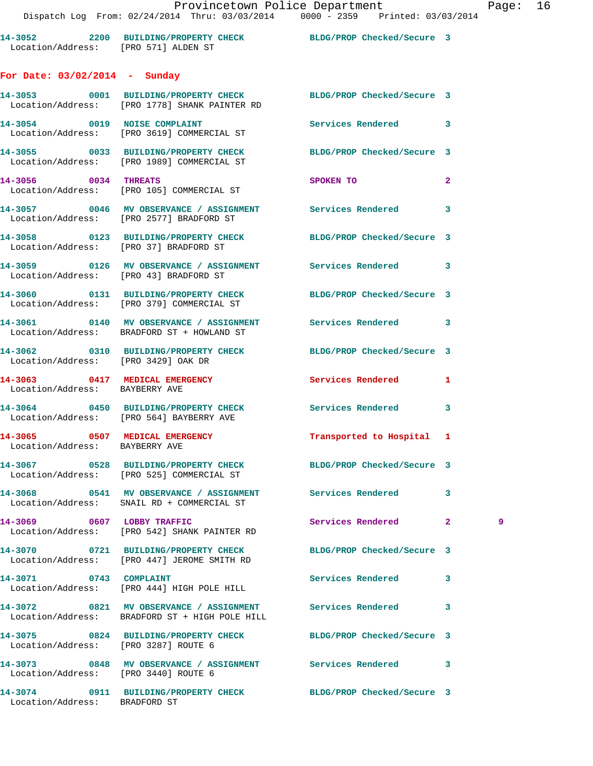| Location/Address: [PRO 571] ALDEN ST | 14-3052 2200 BUILDING/PROPERTY CHECK BLDG/PROP Checked/Secure 3                                                  |                            |                     |  |
|--------------------------------------|------------------------------------------------------------------------------------------------------------------|----------------------------|---------------------|--|
| For Date: $03/02/2014$ - Sunday      |                                                                                                                  |                            |                     |  |
|                                      | 14-3053 0001 BUILDING/PROPERTY CHECK BLDG/PROP Checked/Secure 3<br>Location/Address: [PRO 1778] SHANK PAINTER RD |                            |                     |  |
|                                      | 14-3054 0019 NOISE COMPLAINT<br>Location/Address: [PRO 3619] COMMERCIAL ST                                       | Services Rendered          | 3                   |  |
|                                      | 14-3055 0033 BUILDING/PROPERTY CHECK BLDG/PROP Checked/Secure 3<br>Location/Address: [PRO 1989] COMMERCIAL ST    |                            |                     |  |
| 14-3056 0034 THREATS                 | Location/Address: [PRO 105] COMMERCIAL ST                                                                        | SPOKEN TO                  | $\mathbf{2}$        |  |
|                                      | 14-3057 0046 MV OBSERVANCE / ASSIGNMENT Services Rendered<br>Location/Address: [PRO 2577] BRADFORD ST            |                            | 3                   |  |
|                                      | 14-3058 0123 BUILDING/PROPERTY CHECK BLDG/PROP Checked/Secure 3<br>Location/Address: [PRO 37] BRADFORD ST        |                            |                     |  |
|                                      | Location/Address: [PRO 43] BRADFORD ST                                                                           |                            |                     |  |
|                                      | 14-3060 0131 BUILDING/PROPERTY CHECK<br>Location/Address: [PRO 379] COMMERCIAL ST                                | BLDG/PROP Checked/Secure 3 |                     |  |
|                                      | 14-3061 0140 MV OBSERVANCE / ASSIGNMENT Services Rendered 3<br>Location/Address: BRADFORD ST + HOWLAND ST        |                            |                     |  |
| Location/Address: [PRO 3429] OAK DR  | 14-3062 0310 BUILDING/PROPERTY CHECK BLDG/PROP Checked/Secure 3                                                  |                            |                     |  |
| Location/Address: BAYBERRY AVE       | 14-3063 0417 MEDICAL EMERGENCY Services Rendered                                                                 |                            | 1                   |  |
|                                      | 14-3064 0450 BUILDING/PROPERTY CHECK<br>Location/Address: [PRO 564] BAYBERRY AVE                                 | Services Rendered          | 3                   |  |
| Location/Address: BAYBERRY AVE       | 14-3065 0507 MEDICAL EMERGENCY                                                                                   | Transported to Hospital 1  |                     |  |
|                                      | 14-3067 0528 BUILDING/PROPERTY CHECK<br>Location/Address: [PRO 525] COMMERCIAL ST                                | BLDG/PROP Checked/Secure 3 |                     |  |
|                                      | 14-3068 6541 MV OBSERVANCE / ASSIGNMENT Services Rendered<br>Location/Address: SNAIL RD + COMMERCIAL ST          |                            | 3                   |  |
|                                      | 14-3069 0607 LOBBY TRAFFIC<br>Location/Address: [PRO 542] SHANK PAINTER RD                                       | Services Rendered          | - 9<br>$\mathbf{2}$ |  |
|                                      | 14-3070 0721 BUILDING/PROPERTY CHECK BLDG/PROP Checked/Secure 3<br>Location/Address: [PRO 447] JEROME SMITH RD   |                            |                     |  |
|                                      | 14-3071 0743 COMPLAINT<br>Location/Address: [PRO 444] HIGH POLE HILL                                             | Services Rendered          | 3                   |  |
|                                      | 14-3072 0821 MV OBSERVANCE / ASSIGNMENT Services Rendered<br>Location/Address: BRADFORD ST + HIGH POLE HILL      |                            | 3                   |  |
| Location/Address: [PRO 3287] ROUTE 6 | 14-3075 0824 BUILDING/PROPERTY CHECK BLDG/PROP Checked/Secure 3                                                  |                            |                     |  |
| Location/Address: [PRO 3440] ROUTE 6 | 14-3073 0848 MV OBSERVANCE / ASSIGNMENT Services Rendered                                                        |                            | 3                   |  |
| Location/Address: BRADFORD ST        | 14-3074 0911 BUILDING/PROPERTY CHECK BLDG/PROP Checked/Secure 3                                                  |                            |                     |  |
|                                      |                                                                                                                  |                            |                     |  |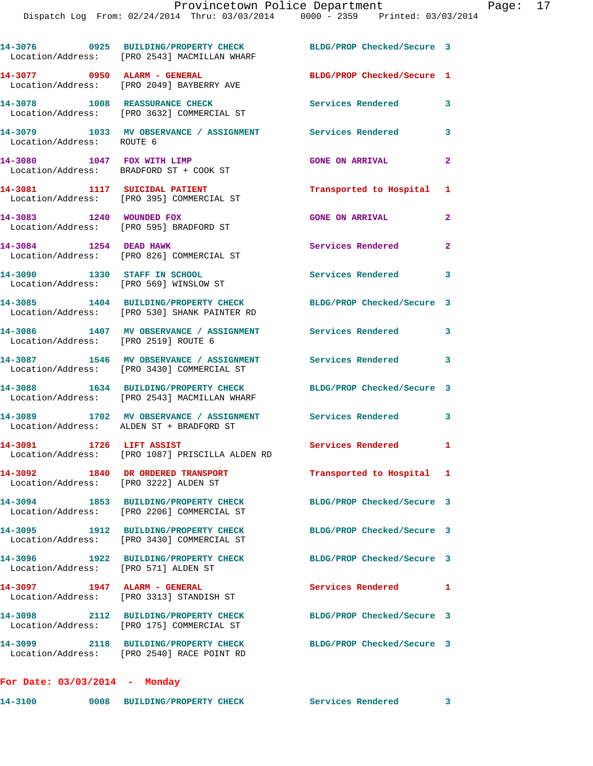|                                                                        | 14-3076 0925 BUILDING/PROPERTY CHECK<br>Location/Address: [PRO 2543] MACMILLAN WHARF  | BLDG/PROP Checked/Secure 3 |              |
|------------------------------------------------------------------------|---------------------------------------------------------------------------------------|----------------------------|--------------|
| 14-3077 0950 ALARM - GENERAL                                           | Location/Address: [PRO 2049] BAYBERRY AVE                                             | BLDG/PROP Checked/Secure 1 |              |
|                                                                        | 14-3078 1008 REASSURANCE CHECK<br>Location/Address: [PRO 3632] COMMERCIAL ST          | Services Rendered          | 3            |
| Location/Address: ROUTE 6                                              | 14-3079 1033 MV OBSERVANCE / ASSIGNMENT Services Rendered                             |                            | 3            |
| 14-3080 1047 FOX WITH LIMP                                             | Location/Address: BRADFORD ST + COOK ST                                               | <b>GONE ON ARRIVAL</b>     | $\mathbf{2}$ |
| 14-3081 1117 SUICIDAL PATIENT                                          | Location/Address: [PRO 395] COMMERCIAL ST                                             | Transported to Hospital 1  |              |
| 14-3083 1240 WOUNDED FOX                                               | Location/Address: [PRO 595] BRADFORD ST                                               | <b>GONE ON ARRIVAL</b>     | $\mathbf{2}$ |
| 14-3084 1254 DEAD HAWK                                                 | Location/Address: [PRO 826] COMMERCIAL ST                                             | Services Rendered          | $\mathbf{2}$ |
| 14-3090 1330 STAFF IN SCHOOL<br>Location/Address: [PRO 569] WINSLOW ST |                                                                                       | Services Rendered          | 3            |
|                                                                        | 14-3085 1404 BUILDING/PROPERTY CHECK<br>Location/Address: [PRO 530] SHANK PAINTER RD  | BLDG/PROP Checked/Secure 3 |              |
| Location/Address: [PRO 2519] ROUTE 6                                   | 14-3086 1407 MV OBSERVANCE / ASSIGNMENT Services Rendered                             |                            | 3            |
|                                                                        | 14-3087 1546 MV OBSERVANCE / ASSIGNMENT<br>Location/Address: [PRO 3430] COMMERCIAL ST | <b>Services Rendered</b>   | 3            |
|                                                                        | 14-3088 1634 BUILDING/PROPERTY CHECK<br>Location/Address: [PRO 2543] MACMILLAN WHARF  | BLDG/PROP Checked/Secure 3 |              |
|                                                                        | 14-3089 1702 MV OBSERVANCE / ASSIGNMENT<br>Location/Address: ALDEN ST + BRADFORD ST   | Services Rendered          | $\mathbf{3}$ |
| 14-3091 1726 LIFT ASSIST                                               | Location/Address: [PRO 1087] PRISCILLA ALDEN RD                                       | Services Rendered 1        |              |
| 14-3092<br>Location/Address: [PRO 3222] ALDEN ST                       | 1840 DR ORDERED TRANSPORT                                                             | Transported to Hospital 1  |              |
|                                                                        | 14-3094 1853 BUILDING/PROPERTY CHECK<br>Location/Address: [PRO 2206] COMMERCIAL ST    | BLDG/PROP Checked/Secure 3 |              |
|                                                                        | 14-3095 1912 BUILDING/PROPERTY CHECK<br>Location/Address: [PRO 3430] COMMERCIAL ST    | BLDG/PROP Checked/Secure 3 |              |
|                                                                        | 14-3096 1922 BUILDING/PROPERTY CHECK<br>Location/Address: [PRO 571] ALDEN ST          | BLDG/PROP Checked/Secure 3 |              |
| 14-3097 1947 ALARM - GENERAL                                           | Location/Address: [PRO 3313] STANDISH ST                                              | Services Rendered          | $\mathbf{1}$ |
|                                                                        | 14-3098 2112 BUILDING/PROPERTY CHECK<br>Location/Address: [PRO 175] COMMERCIAL ST     | BLDG/PROP Checked/Secure 3 |              |
|                                                                        | 14-3099 2118 BUILDING/PROPERTY CHECK<br>Location/Address: [PRO 2540] RACE POINT RD    | BLDG/PROP Checked/Secure 3 |              |
| For Date: $03/03/2014$ - Monday                                        |                                                                                       |                            |              |

**14-3100 0008 BUILDING/PROPERTY CHECK Services Rendered 3**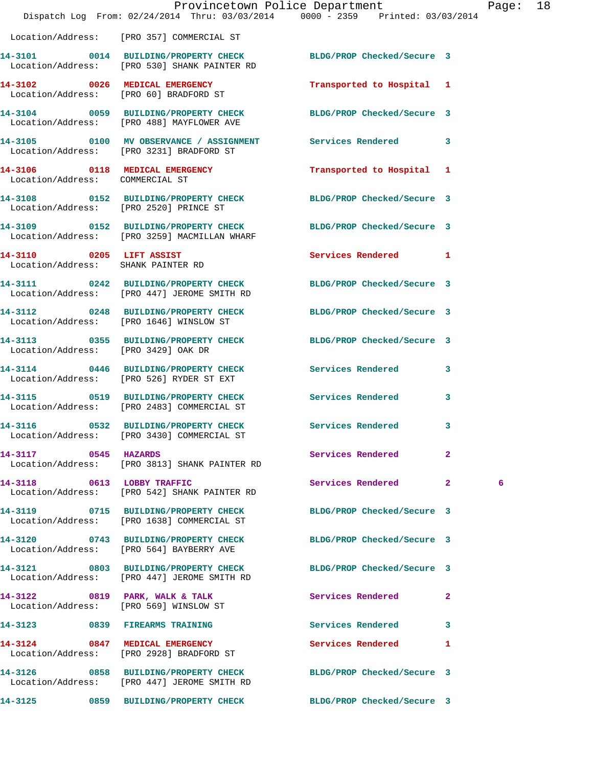|                                                                | Dispatch Log From: 02/24/2014 Thru: 03/03/2014 0000 - 2359 Printed: 03/03/2014                                  | Provincetown Police Department |                | Page: 18 |  |
|----------------------------------------------------------------|-----------------------------------------------------------------------------------------------------------------|--------------------------------|----------------|----------|--|
|                                                                | Location/Address: [PRO 357] COMMERCIAL ST                                                                       |                                |                |          |  |
|                                                                | 14-3101 0014 BUILDING/PROPERTY CHECK BLDG/PROP Checked/Secure 3<br>Location/Address: [PRO 530] SHANK PAINTER RD |                                |                |          |  |
|                                                                | 14-3102 0026 MEDICAL EMERGENCY<br>Location/Address: [PRO 60] BRADFORD ST                                        | Transported to Hospital 1      |                |          |  |
|                                                                | 14-3104 0059 BUILDING/PROPERTY CHECK BLDG/PROP Checked/Secure 3<br>Location/Address: [PRO 488] MAYFLOWER AVE    |                                |                |          |  |
|                                                                | 14-3105 0100 MV OBSERVANCE / ASSIGNMENT Services Rendered<br>Location/Address: [PRO 3231] BRADFORD ST           |                                | 3              |          |  |
| Location/Address: COMMERCIAL ST                                | 14-3106 0118 MEDICAL EMERGENCY                                                                                  | Transported to Hospital 1      |                |          |  |
|                                                                | 14-3108 0152 BUILDING/PROPERTY CHECK BLDG/PROP Checked/Secure 3<br>Location/Address: [PRO 2520] PRINCE ST       |                                |                |          |  |
|                                                                | 14-3109 0152 BUILDING/PROPERTY CHECK BLDG/PROP Checked/Secure 3<br>Location/Address: [PRO 3259] MACMILLAN WHARF |                                |                |          |  |
| 14-3110 0205 LIFT ASSIST<br>Location/Address: SHANK PAINTER RD |                                                                                                                 | Services Rendered 1            |                |          |  |
|                                                                | 14-3111 0242 BUILDING/PROPERTY CHECK BLDG/PROP Checked/Secure 3<br>Location/Address: [PRO 447] JEROME SMITH RD  |                                |                |          |  |
|                                                                | 14-3112 0248 BUILDING/PROPERTY CHECK<br>Location/Address: [PRO 1646] WINSLOW ST                                 | BLDG/PROP Checked/Secure 3     |                |          |  |
| Location/Address: [PRO 3429] OAK DR                            | 14-3113 0355 BUILDING/PROPERTY CHECK BLDG/PROP Checked/Secure 3                                                 |                                |                |          |  |
|                                                                | 14-3114 0446 BUILDING/PROPERTY CHECK Services Rendered<br>Location/Address: [PRO 526] RYDER ST EXT              |                                | $\mathbf{3}$   |          |  |
|                                                                | 14-3115 0519 BUILDING/PROPERTY CHECK Services Rendered<br>Location/Address: [PRO 2483] COMMERCIAL ST            |                                | 3              |          |  |
| 14-3116                                                        | 0532 BUILDING/PROPERTY CHECK Services Rendered<br>Location/Address: [PRO 3430] COMMERCIAL ST                    |                                | $\mathbf{3}$   |          |  |
| 14-3117 0545 HAZARDS                                           | Location/Address: [PRO 3813] SHANK PAINTER RD                                                                   | Services Rendered              | 2              |          |  |
|                                                                | 14-3118 0613 LOBBY TRAFFIC<br>Location/Address: [PRO 542] SHANK PAINTER RD                                      | Services Rendered 2            |                | 6        |  |
|                                                                | 14-3119 0715 BUILDING/PROPERTY CHECK BLDG/PROP Checked/Secure 3<br>Location/Address: [PRO 1638] COMMERCIAL ST   |                                |                |          |  |
|                                                                | 14-3120 0743 BUILDING/PROPERTY CHECK<br>Location/Address: [PRO 564] BAYBERRY AVE                                | BLDG/PROP Checked/Secure 3     |                |          |  |
|                                                                | 14-3121 0803 BUILDING/PROPERTY CHECK BLDG/PROP Checked/Secure 3<br>Location/Address: [PRO 447] JEROME SMITH RD  |                                |                |          |  |
|                                                                | 14-3122 0819 PARK, WALK & TALK<br>Location/Address: [PRO 569] WINSLOW ST                                        | Services Rendered              | $\overline{2}$ |          |  |
|                                                                | 14-3123 0839 FIREARMS TRAINING                                                                                  | <b>Services Rendered</b>       | 3              |          |  |
|                                                                | 14-3124 0847 MEDICAL EMERGENCY<br>Location/Address: [PRO 2928] BRADFORD ST                                      | Services Rendered              | $\mathbf{1}$   |          |  |
|                                                                | 14-3126 0858 BUILDING/PROPERTY CHECK BLDG/PROP Checked/Secure 3<br>Location/Address: [PRO 447] JEROME SMITH RD  |                                |                |          |  |
|                                                                | 14-3125 0859 BUILDING/PROPERTY CHECK BLDG/PROP Checked/Secure 3                                                 |                                |                |          |  |